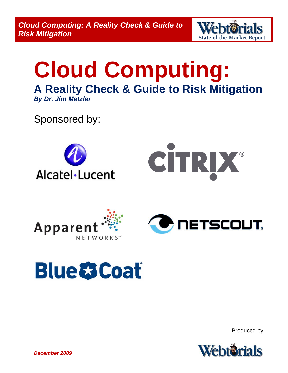*Cloud Computing: A Reality Check & Guide to*  **Cloud Computing: A Reality Check & Guide to Webter 12 IS<br>Risk Mitigation and Report Report Report** 



# **Cloud Computing: A Reality Check & Guide to Risk Mitigation** *By Dr. Jim Metzler*

Sponsored by:





# **Blue & Coat**

Produced by

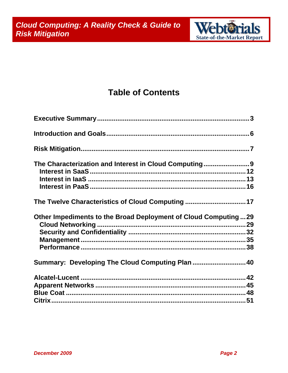

### **Table of Contents**

| The Characterization and Interest in Cloud Computing9          |  |
|----------------------------------------------------------------|--|
|                                                                |  |
|                                                                |  |
|                                                                |  |
| The Twelve Characteristics of Cloud Computing 17               |  |
| Other Impediments to the Broad Deployment of Cloud Computing29 |  |
|                                                                |  |
|                                                                |  |
|                                                                |  |
|                                                                |  |
| Summary: Developing The Cloud Computing Plan  40               |  |
|                                                                |  |
|                                                                |  |
|                                                                |  |
|                                                                |  |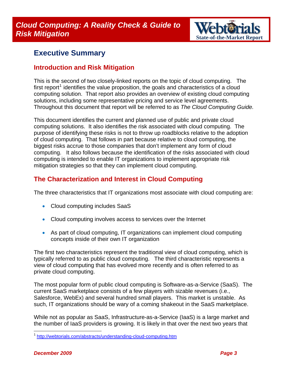

### <span id="page-2-0"></span>**Executive Summary**

#### **Introduction and Risk Mitigation**

This is the second of two closely-linked reports on the topic of cloud computing. The first report<sup>[1](#page-2-1)</sup> identifies the value proposition, the goals and characteristics of a cloud computing solution. That report also provides an overview of existing cloud computing solutions, including some representative pricing and service level agreements. Throughout this document that report will be referred to as *The Cloud Computing Guide.*

This document identifies the current and planned use of public and private cloud computing solutions. It also identifies the risk associated with cloud computing. The purpose of identifying these risks is not to throw up roadblocks relative to the adoption of cloud computing. That follows in part because relative to cloud computing, the biggest risks accrue to those companies that don't implement any form of cloud computing. It also follows because the identification of the risks associated with cloud computing is intended to enable IT organizations to implement appropriate risk mitigation strategies so that they can implement cloud computing.

#### **The Characterization and Interest in Cloud Computing**

The three characteristics that IT organizations most associate with cloud computing are:

- Cloud computing includes SaaS
- Cloud computing involves access to services over the Internet
- As part of cloud computing, IT organizations can implement cloud computing concepts inside of their own IT organization

The first two characteristics represent the traditional view of cloud computing, which is typically referred to as public cloud computing. The third characteristic represents a view of cloud computing that has evolved more recently and is often referred to as private cloud computing.

The most popular form of public cloud computing is Software-as-a-Service (SaaS). The current SaaS marketplace consists of a few players with sizable revenues (i.e., Salesforce, WebEx) and several hundred small players. This market is unstable. As such, IT organizations should be wary of a coming shakeout in the SaaS marketplace.

While not as popular as SaaS, Infrastructure-as-a-Service (IaaS) is a large market and the number of IaaS providers is growing. It is likely in that over the next two years that

<span id="page-2-1"></span><sup>&</sup>lt;sup>1</sup> <http://webtorials.com/abstracts/understanding-cloud-computing.htm>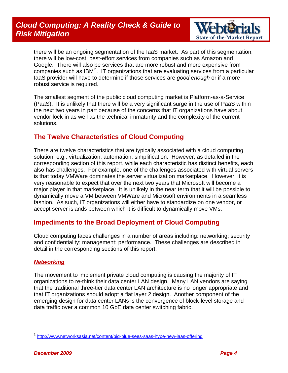

there will be an ongoing segmentation of the IaaS market. As part of this segmentation, there will be low-cost, best-effort services from companies such as Amazon and Google. There will also be services that are more robust and more expensive from companies such as IBM<sup>[2](#page-3-0)</sup>. IT organizations that are evaluating services from a particular IaaS provider will have to determine if those services are *good enough* or if a more robust service is required.

The smallest segment of the public cloud computing market is Platform-as-a-Service (PaaS). It is unlikely that there will be a very significant surge in the use of PaaS within the next two years in part because of the concerns that IT organizations have about vendor lock-in as well as the technical immaturity and the complexity of the current solutions.

#### **The Twelve Characteristics of Cloud Computing**

There are twelve characteristics that are typically associated with a cloud computing solution; e.g., virtualization, automation, simplification. However, as detailed in the corresponding section of this report, while each characteristic has distinct benefits, each also has challenges. For example, one of the challenges associated with virtual servers is that today VMWare dominates the server virtualization marketplace. However, it is very reasonable to expect that over the next two years that Microsoft will become a major player in that marketplace. It is unlikely in the near term that it will be possible to dynamically move a VM between VMWare and Microsoft environments in a seamless fashion. As such, IT organizations will either have to standardize on one vendor, or accept server islands between which it is difficult to dynamically move VMs.

#### **Impediments to the Broad Deployment of Cloud Computing**

Cloud computing faces challenges in a number of areas including: networking; security and confidentiality; management; performance. These challenges are described in detail in the corresponding sections of this report.

#### *Networking*

The movement to implement private cloud computing is causing the majority of IT organizations to re-think their data center LAN design. Many LAN vendors are saying that the traditional three-tier data center LAN architecture is no longer appropriate and that IT organizations should adopt a flat layer 2 design. Another component of the emerging design for data center LANs is the convergence of block-level storage and data traffic over a common 10 GbE data center switching fabric.

<span id="page-3-0"></span><sup>&</sup>lt;sup>2</sup> <http://www.networksasia.net/content/big-blue-sees-saas-hype-new-iaas-offering>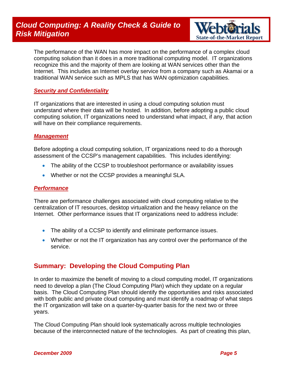

The performance of the WAN has more impact on the performance of a complex cloud computing solution than it does in a more traditional computing model. IT organizations recognize this and the majority of them are looking at WAN services other than the Internet. This includes an Internet overlay service from a company such as Akamai or a traditional WAN service such as MPLS that has WAN optimization capabilities.

#### *Security and Confidentiality*

IT organizations that are interested in using a cloud computing solution must understand where their data will be hosted. In addition, before adopting a public cloud computing solution, IT organizations need to understand what impact, if any, that action will have on their compliance requirements.

#### *Management*

Before adopting a cloud computing solution, IT organizations need to do a thorough assessment of the CCSP's management capabilities. This includes identifying:

- The ability of the CCSP to troubleshoot performance or availability issues
- Whether or not the CCSP provides a meaningful SLA.

#### *Performance*

There are performance challenges associated with cloud computing relative to the centralization of IT resources, desktop virtualization and the heavy reliance on the Internet. Other performance issues that IT organizations need to address include:

- The ability of a CCSP to identify and eliminate performance issues.
- Whether or not the IT organization has any control over the performance of the service.

#### **Summary: Developing the Cloud Computing Plan**

In order to maximize the benefit of moving to a cloud computing model, IT organizations need to develop a plan (The Cloud Computing Plan) which they update on a regular basis. The Cloud Computing Plan should identify the opportunities and risks associated with both public and private cloud computing and must identify a roadmap of what steps the IT organization will take on a quarter-by-quarter basis for the next two or three years.

The Cloud Computing Plan should look systematically across multiple technologies because of the interconnected nature of the technologies. As part of creating this plan,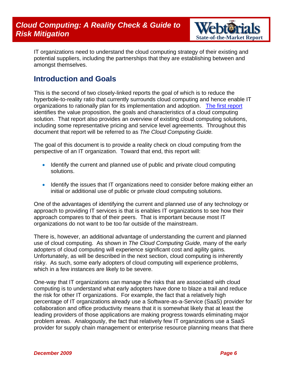

<span id="page-5-0"></span>IT organizations need to understand the cloud computing strategy of their existing and potential suppliers, including the partnerships that they are establishing between and amongst themselves.

### **Introduction and Goals**

This is the second of two closely-linked reports the goal of which is to reduce the hyperbole-to-reality ratio that currently surrounds cloud computing and hence enable IT organizations to rationally plan for its implementation and adoption. [The first report](http://webtorials.com/abstracts/understanding-cloud-computing.htm) identifies the value proposition, the goals and characteristics of a cloud computing solution. That report also provides an overview of existing cloud computing solutions, including some representative pricing and service level agreements. Throughout this document that report will be referred to as *The Cloud Computing Guide.*

The goal of this document is to provide a reality check on cloud computing from the perspective of an IT organization. Toward that end, this report will:

- Identify the current and planned use of public and private cloud computing solutions.
- Identify the issues that IT organizations need to consider before making either an initial or additional use of public or private cloud computing solutions.

One of the advantages of identifying the current and planned use of any technology or approach to providing IT services is that is enables IT organizations to see how their approach compares to that of their peers. That is important because most IT organizations do not want to be too far outside of the mainstream.

There is, however, an additional advantage of understanding the current and planned use of cloud computing. As shown in *The Cloud Computing Guide,* many of the early adopters of cloud computing will experience significant cost and agility gains. Unfortunately, as will be described in the next section, cloud computing is inherently risky. As such, some early adopters of cloud computing will experience problems, which in a few instances are likely to be severe.

One-way that IT organizations can manage the risks that are associated with cloud computing is to understand what early adopters have done to blaze a trail and reduce the risk for other IT organizations. For example, the fact that a relatively high percentage of IT organizations already use a Software-as-a-Service (SaaS) provider for collaboration and office productivity means that it is somewhat likely that at least the leading providers of those applications are making progress towards eliminating major problem areas. Analogously, the fact that relatively few IT organizations use a SaaS provider for supply chain management or enterprise resource planning means that there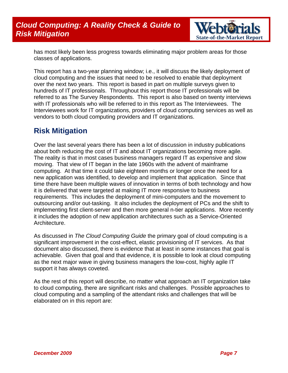

<span id="page-6-0"></span>has most likely been less progress towards eliminating major problem areas for those classes of applications.

This report has a two-year planning window; i.e., it will discuss the likely deployment of cloud computing and the issues that need to be resolved to enable that deployment over the next two years. This report is based in part on multiple surveys given to hundreds of IT professionals. Throughout this report those IT professionals will be referred to as The Survey Respondents. This report is also based on twenty interviews with IT professionals who will be referred to in this report as The Interviewees. The Interviewees work for IT organizations, providers of cloud computing services as well as vendors to both cloud computing providers and IT organizations.

### **Risk Mitigation**

Over the last several years there has been a lot of discussion in industry publications about both reducing the cost of IT and about IT organizations becoming more agile. The reality is that in most cases business managers regard IT as expensive and slow moving. That view of IT began in the late 1960s with the advent of mainframe computing. At that time it could take eighteen months or longer once the need for a new application was identified, to develop and implement that application. Since that time there have been multiple waves of innovation in terms of both technology and how it is delivered that were targeted at making IT more responsive to business requirements. This includes the deployment of mini-computers and the movement to outsourcing and/or out-tasking. It also includes the deployment of PCs and the shift to implementing first client-server and then more general n-tier applications. More recently it includes the adoption of new application architectures such as a Service-Oriented Architecture.

As discussed in *The Cloud Computing Guide* the primary goal of cloud computing is a significant improvement in the cost-effect, elastic provisioning of IT services. As that document also discussed, there is evidence that at least in some instances that goal is achievable. Given that goal and that evidence, it is possible to look at cloud computing as the next major wave in giving business managers the low-cost, highly agile IT support it has always coveted.

As the rest of this report will describe, no matter what approach an IT organization take to cloud computing, there are significant risks and challenges. Possible approaches to cloud computing and a sampling of the attendant risks and challenges that will be elaborated on in this report are: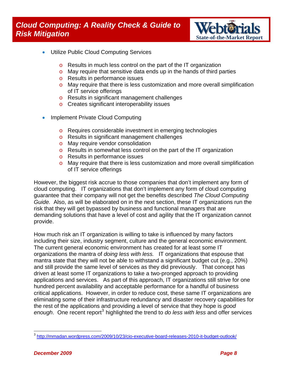

- Utilize Public Cloud Computing Services
	- o Results in much less control on the part of the IT organization
	- $\circ$  May require that sensitive data ends up in the hands of third parties
	- o Results in performance issues
	- $\circ$  May require that there is less customization and more overall simplification of IT service offerings
	- o Results in significant management challenges
	- o Creates significant interoperability issues
- Implement Private Cloud Computing
	- o Requires considerable investment in emerging technologies
	- o Results in significant management challenges
	- o May require vendor consolidation
	- o Results in somewhat less control on the part of the IT organization
	- o Results in performance issues
	- o May require that there is less customization and more overall simplification of IT service offerings

However, the biggest risk accrue to those companies that don't implement any form of cloud computing. IT organizations that don't implement any form of cloud computing guarantee that their company will not get the benefits described *The Cloud Computing Guide.* Also, as will be elaborated on in the next section, these IT organizations run the risk that they will get bypassed by business and functional managers that are demanding solutions that have a level of cost and agility that the IT organization cannot provide.

How much risk an IT organization is willing to take is influenced by many factors including their size, industry segment, culture and the general economic environment. The current general economic environment has created for at least some IT organizations the mantra of *doing less with less.* IT organizations that espouse that mantra state that they will not be able to withstand a significant budget cut (e.g., 20%) and still provide the same level of services as they did previously. That concept has driven at least some IT organizations to take a two-pronged approach to providing applications and services. As part of this approach, IT organizations still strive for one hundred percent availability and acceptable performance for a handful of business critical applications. However, in order to reduce cost, these same IT organizations are eliminating some of their infrastructure redundancy and disaster recovery capabilities for the rest of the applications and providing a level of service that they hope is *good*  enough. One recent report<sup>[3](#page-7-0)</sup> highlighted the trend to *do less with less* and offer services

<span id="page-7-0"></span><sup>&</sup>lt;sup>3</sup> <http://mmadan.wordpress.com/2009/10/23/cio-executive-board-releases-2010-it-budget-outlook/>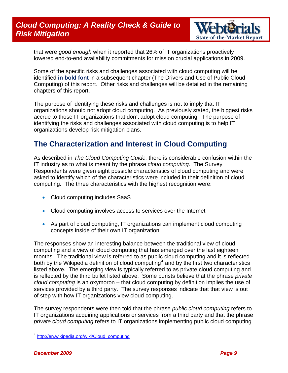

<span id="page-8-0"></span>that were *good enough* when it reported that 26% of IT organizations proactively lowered end-to-end availability commitments for mission crucial applications in 2009.

Some of the specific risks and challenges associated with cloud computing will be identified **in bold font** in a subsequent chapter (The Drivers and Use of Public Cloud Computing) of this report. Other risks and challenges will be detailed in the remaining chapters of this report.

The purpose of identifying these risks and challenges is not to imply that IT organizations should not adopt cloud computing. As previously stated, the biggest risks accrue to those IT organizations that don't adopt cloud computing. The purpose of identifying the risks and challenges associated with cloud computing is to help IT organizations develop risk mitigation plans.

### **The Characterization and Interest in Cloud Computing**

As described in *The Cloud Computing Guide,* there is considerable confusion within the IT industry as to what is meant by the phrase *cloud computing*. The Survey Respondents were given eight possible characteristics of cloud computing and were asked to identify which of the characteristics were included in their definition of cloud computing. The three characteristics with the highest recognition were:

- Cloud computing includes SaaS
- Cloud computing involves access to services over the Internet
- As part of cloud computing, IT organizations can implement cloud computing concepts inside of their own IT organization

The responses show an interesting balance between the traditional view of cloud computing and a view of cloud computing that has emerged over the last eighteen months. The traditional view is referred to as public cloud computing and it is reflected both by the Wikipedia definition of cloud computing<sup>[4](#page-8-1)</sup> and by the first two characteristics listed above. The emerging view is typically referred to as private cloud computing and is reflected by the third bullet listed above. Some purists believe that the phrase *private cloud computing* is an oxymoron – that cloud computing by definition implies the use of services provided by a third party. The survey responses indicate that that view is out of step with how IT organizations view cloud computing.

The survey respondents were then told that the phrase *public cloud computing* refers to IT organizations acquiring applications or services from a third party and that the phrase *private cloud computing* refers to IT organizations implementing public cloud computing

<span id="page-8-1"></span><sup>&</sup>lt;sup>4</sup> [http://en.wikipedia.org/wiki/Cloud\\_computing](http://en.wikipedia.org/wiki/Cloud_computing)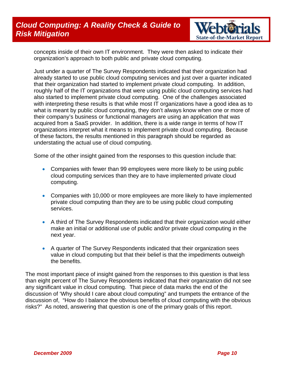### *Cloud Computing: A Reality Check & Guide to*  **Risk Mitigation** *State-of-the-Market Report* $S$  **State-of-the-Market Report <b>***State-of-the-Market Report*



concepts inside of their own IT environment. They were then asked to indicate their organization's approach to both public and private cloud computing.

Just under a quarter of The Survey Respondents indicated that their organization had already started to use public cloud computing services and just over a quarter indicated that their organization had started to implement private cloud computing. In addition, roughly half of the IT organizations that were using public cloud computing services had also started to implement private cloud computing. One of the challenges associated with interpreting these results is that while most IT organizations have a good idea as to what is meant by public cloud computing, they don't always know when one or more of their company's business or functional managers are using an application that was acquired from a SaaS provider. In addition, there is a wide range in terms of how IT organizations interpret what it means to implement private cloud computing. Because of these factors, the results mentioned in this paragraph should be regarded as understating the actual use of cloud computing.

Some of the other insight gained from the responses to this question include that:

- Companies with fewer than 99 employees were more likely to be using public cloud computing services than they are to have implemented private cloud computing.
- Companies with 10,000 or more employees are more likely to have implemented private cloud computing than they are to be using public cloud computing services.
- A third of The Survey Respondents indicated that their organization would either make an initial or additional use of public and/or private cloud computing in the next year.
- A quarter of The Survey Respondents indicated that their organization sees value in cloud computing but that their belief is that the impediments outweigh the benefits.

The most important piece of insight gained from the responses to this question is that less than eight percent of The Survey Respondents indicated that their organization did not see any significant value in cloud computing. That piece of data marks the end of the discussion of 'Why should I care about cloud computing" and trumpets the entrance of the discussion of, "How do I balance the obvious benefits of cloud computing with the obvious risks?" As noted, answering that question is one of the primary goals of this report.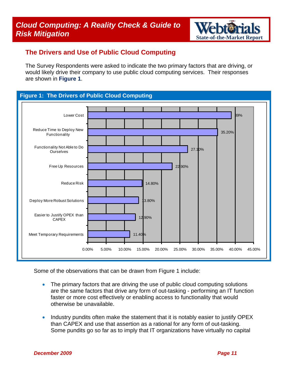

#### **The Drivers and Use of Public Cloud Computing**

The Survey Respondents were asked to indicate the two primary factors that are driving, or would likely drive their company to use public cloud computing services. Their responses are shown in **Figure 1**.

#### **Figure 1: The Drivers of Public Cloud Computing**



Some of the observations that can be drawn from Figure 1 include:

- The primary factors that are driving the use of public cloud computing solutions are the same factors that drive any form of out-tasking - performing an IT function faster or more cost effectively or enabling access to functionality that would otherwise be unavailable.
- Industry pundits often make the statement that it is notably easier to justify OPEX than CAPEX and use that assertion as a rational for any form of out-tasking. Some pundits go so far as to imply that IT organizations have virtually no capital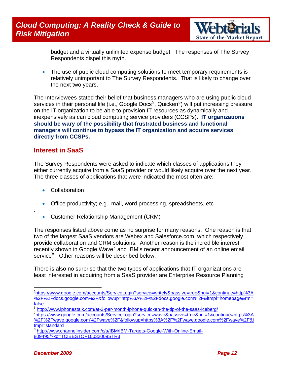

<span id="page-11-0"></span>budget and a virtually unlimited expense budget. The responses of The Survey Respondents dispel this myth.

• The use of public cloud computing solutions to meet temporary requirements is relatively unimportant to The Survey Respondents. That is likely to change over the next two years.

The Interviewees stated their belief that business managers who are using public cloud services in their personal life (i.e., Google Docs<sup>[5](#page-11-1)</sup>, Quicken<sup>[6](#page-11-2)</sup>) will put increasing pressure on the IT organization to be able to provision IT resources as dynamically and inexpensively as can cloud computing service providers (CCSPs). **IT organizations should be wary of the possibility that frustrated business and functional managers will continue to bypass the IT organization and acquire services directly from CCSPs.**

#### **Interest in SaaS**

The Survey Respondents were asked to indicate which classes of applications they either currently acquire from a SaaS provider or would likely acquire over the next year. The three classes of applications that were indicated the most often are:

- **Collaboration**
- Office productivity; e.g., mail, word processing, spreadsheets, etc
- Customer Relationship Management (CRM)

The responses listed above come as no surprise for many reasons. One reason is that two of the largest SaaS vendors are Webex and Salesforce.com, which respectively provide collaboration and CRM solutions. Another reason is the incredible interest  $\dot{r}$  recently shown in Google Wave<sup>[7](#page-11-3)</sup> and IBM's recent announcement of an online email service<sup>[8](#page-11-4)</sup>. Other reasons will be described below.

There is also no surprise that the two types of applications that IT organizations are least interested in acquiring from a SaaS provider are Enterprise Resource Planning

 $\overline{a}$ 

.

<span id="page-11-1"></span><sup>5</sup> [https://www.google.com/accounts/ServiceLogin?service=writely&passive=true&nui=1&continue=http%3A](https://www.google.com/accounts/ServiceLogin?service=writely&passive=true&nui=1&continue=http%3A%2F%2Fdocs.google.com%2F&followup=http%3A%2F%2Fdocs.google.com%2F<mpl=homepage&rm=false) [%2F%2Fdocs.google.com%2F&followup=http%3A%2F%2Fdocs.google.com%2F&ltmpl=homepage&rm=](https://www.google.com/accounts/ServiceLogin?service=writely&passive=true&nui=1&continue=http%3A%2F%2Fdocs.google.com%2F&followup=http%3A%2F%2Fdocs.google.com%2F<mpl=homepage&rm=false) [false](https://www.google.com/accounts/ServiceLogin?service=writely&passive=true&nui=1&continue=http%3A%2F%2Fdocs.google.com%2F&followup=http%3A%2F%2Fdocs.google.com%2F<mpl=homepage&rm=false)

<span id="page-11-2"></span> $6$  <http://www.iphonestalk.com/at-3-per-month-iphone-quicken-the-tip-of-the-saas-iceberg/>

<span id="page-11-3"></span>[https://www.google.com/accounts/ServiceLogin?service=wave&passive=true&nui=1&continue=https%3A](https://www.google.com/accounts/ServiceLogin?service=wave&passive=true&nui=1&continue=https%3A%2F%2Fwave.google.com%2Fwave%2F&followup=https%3A%2F%2Fwave.google.com%2Fwave%2F<mpl=standard) [%2F%2Fwave.google.com%2Fwave%2F&followup=https%3A%2F%2Fwave.google.com%2Fwave%2F&l](https://www.google.com/accounts/ServiceLogin?service=wave&passive=true&nui=1&continue=https%3A%2F%2Fwave.google.com%2Fwave%2F&followup=https%3A%2F%2Fwave.google.com%2Fwave%2F<mpl=standard) [tmpl=standard](https://www.google.com/accounts/ServiceLogin?service=wave&passive=true&nui=1&continue=https%3A%2F%2Fwave.google.com%2Fwave%2F&followup=https%3A%2F%2Fwave.google.com%2Fwave%2F<mpl=standard)

<span id="page-11-4"></span>[http://www.channelinsider.com/c/a/IBM/IBM-Targets-Google-With-Online-Email-](http://www.channelinsider.com/c/a/IBM/IBM-Targets-Google-With-Online-Email-809495/?kc=TCIBESTOF10032009STR3)[809495/?kc=TCIBESTOF10032009STR3](http://www.channelinsider.com/c/a/IBM/IBM-Targets-Google-With-Online-Email-809495/?kc=TCIBESTOF10032009STR3)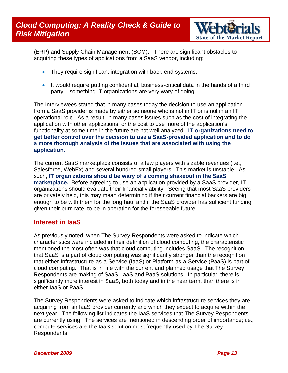

<span id="page-12-0"></span>(ERP) and Supply Chain Management (SCM). There are significant obstacles to acquiring these types of applications from a SaaS vendor, including:

- They require significant integration with back-end systems.
- It would require putting confidential, business-critical data in the hands of a third party – something IT organizations are very wary of doing.

The Interviewees stated that in many cases today the decision to use an application from a SaaS provider is made by either someone who is not in IT or is not in an IT operational role. As a result, in many cases issues such as the cost of integrating the application with other applications, or the cost to use more of the application's functionality at some time in the future are not well analyzed. **IT organizations need to get better control over the decision to use a SaaS-provided application and to do a more thorough analysis of the issues that are associated with using the application.**

The current SaaS marketplace consists of a few players with sizable revenues (i.e., Salesforce, WebEx) and several hundred small players. This market is unstable. As such, **IT organizations should be wary of a coming shakeout in the SaaS marketplace.** Before agreeing to use an application provided by a SaaS provider, IT organizations should evaluate their financial viability. Seeing that most SaaS providers are privately held, this may mean determining if their current financial backers are big enough to be with them for the long haul and if the SaaS provider has sufficient funding, given their burn rate, to be in operation for the foreseeable future.

#### **Interest in IaaS**

As previously noted, when The Survey Respondents were asked to indicate which characteristics were included in their definition of cloud computing, the characteristic mentioned the most often was that cloud computing includes SaaS. The recognition that SaaS is a part of cloud computing was significantly stronger than the recognition that either Infrastructure-as-a-Service (IaaS) or Platform-as-a-Service (PaaS) is part of cloud computing. That is in line with the current and planned usage that The Survey Respondents are making of SaaS, IaaS and PaaS solutions. In particular, there is significantly more interest in SaaS, both today and in the near term, than there is in either IaaS or PaaS.

The Survey Respondents were asked to indicate which infrastructure services they are acquiring from an IaaS provider currently and which they expect to acquire within the next year. The following list indicates the IaaS services that The Survey Respondents are currently using. The services are mentioned in descending order of importance; i.e., compute services are the IaaS solution most frequently used by The Survey Respondents.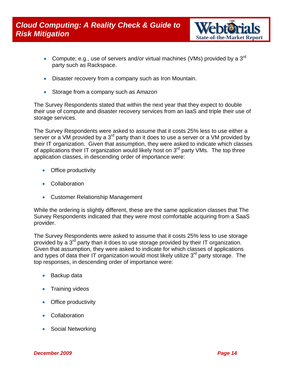

- Compute; e.g., use of servers and/or virtual machines (VMs) provided by a  $3<sup>rd</sup>$ party such as Rackspace.
- Disaster recovery from a company such as Iron Mountain.
- Storage from a company such as Amazon

The Survey Respondents stated that within the next year that they expect to double their use of compute and disaster recovery services from an IaaS and triple their use of storage services.

The Survey Respondents were asked to assume that it costs 25% less to use either a server or a VM provided by a 3<sup>rd</sup> party than it does to use a server or a VM provided by their IT organization. Given that assumption, they were asked to indicate which classes of applications their IT organization would likely host on  $3<sup>rd</sup>$  party VMs. The top three application classes, in descending order of importance were:

- Office productivity
- Collaboration
- Customer Relationship Management

While the ordering is slightly different, these are the same application classes that The Survey Respondents indicated that they were most comfortable acquiring from a SaaS provider.

The Survey Respondents were asked to assume that it costs 25% less to use storage provided by a 3<sup>rd</sup> party than it does to use storage provided by their IT organization. Given that assumption, they were asked to indicate for which classes of applications and types of data their IT organization would most likely utilize  $3<sup>rd</sup>$  party storage. The top responses, in descending order of importance were:

- Backup data
- Training videos
- Office productivity
- Collaboration
- Social Networking

*December 2009 Page 14*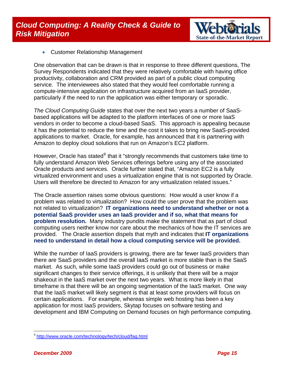

• Customer Relationship Management

One observation that can be drawn is that in response to three different questions, The Survey Respondents indicated that they were relatively comfortable with having office productivity, collaboration and CRM provided as part of a public cloud computing service. The interviewees also stated that they would feel comfortable running a compute-intensive application on infrastructure acquired from an IaaS provider, particularly if the need to run the application was either temporary or sporadic.

*The Cloud Computing Guide* states that over the next two years a number of SaaSbased applications will be adapted to the platform interfaces of one or more IaaS vendors in order to become a cloud-based SaaS. This approach is appealing because it has the potential to reduce the time and the cost it takes to bring new SaaS-provided applications to market. Oracle, for example, has announced that it is partnering with Amazon to deploy cloud solutions that run on Amazon's EC2 platform.

However, Oracle has stated<sup>[9](#page-14-0)</sup> that it "strongly recommends that customers take time to fully understand Amazon Web Services offerings before using any of the associated Oracle products and services. Oracle further stated that, "Amazon EC2 is a fully virtualized environment and uses a virtualization engine that is not supported by Oracle. Users will therefore be directed to Amazon for any virtualization related issues."

The Oracle assertion raises some obvious questions: How would a user know if a problem was related to virtualization? How could the user prove that the problem was not related to virtualization? **IT organizations need to understand whether or not a potential SaaS provider uses an IaaS provider and if so, what that means for problem resolution.** Many industry pundits make the statement that as part of cloud computing users neither know nor care about the mechanics of how the IT services are provided. The Oracle assertion dispels that myth and indicates that **IT organizations need to understand in detail how a cloud computing service will be provided.**

While the number of IaaS providers is growing, there are far fewer IaaS providers than there are SaaS providers and the overall IaaS market is more stable than is the SaaS market. As such, while some IaaS providers could go out of business or make significant changes to their service offerings, it is unlikely that there will be a major shakeout in the IaaS market over the next two years. What is more likely in that timeframe is that there will be an ongoing segmentation of the IaaS market. One way that the IaaS market will likely segment is that at least some providers will focus on certain applications. For example, whereas simple web hosting has been a key application for most IaaS providers, Skytap focuses on software testing and development and IBM Computing on Demand focuses on high performance computing.

<span id="page-14-0"></span><sup>9</sup> <http://www.oracle.com/technology/tech/cloud/faq.html>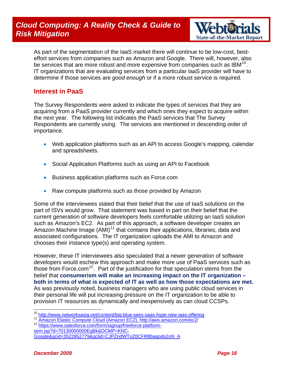### <span id="page-15-0"></span>*Cloud Computing: A Reality Check & Guide to*  **Risk Mitigation** *State-of-the-Market Report in the State-of-the-Market Report* $S$



As part of the segmentation of the IaaS market there will continue to be low-cost, besteffort services from companies such as Amazon and Google. There will, however, also be services that are more robust and more expensive from companies such as  $IBM^{10}$  $IBM^{10}$  $IBM^{10}$ . IT organizations that are evaluating services from a particular IaaS provider will have to determine if those services are *good enough* or if a more robust service is required.

#### **Interest in PaaS**

The Survey Respondents were asked to indicate the types of services that they are acquiring from a PaaS provider currently and which ones they expect to acquire within the next year. The following list indicates the PaaS services that The Survey Respondents are currently using. The services are mentioned in descending order of importance.

- Web application platforms such as an API to access Google's mapping, calendar and spreadsheets.
- Social Application Platforms such as using an API to Facebook
- Business application platforms such as Force.com
- Raw compute platforms such as those provided by Amazon

Some of the interviewees stated that their belief that the use of IaaS solutions on the part of ISVs would grow. That statement was based in part on their belief that the current generation of software developers feels comfortable utilizing an IaaS solution such as Amazon's EC2. As part of this approach, a software developer creates an Amazon Machine Image  $(AMI)^{11}$  $(AMI)^{11}$  $(AMI)^{11}$  that contains their applications, libraries, data and associated configurations. The IT organization uploads the AMI to Amazon and chooses their instance type(s) and operating system.

However, these IT interviewees also speculated that a newer generation of software developers would eschew this approach and make more use of PaaS services such as those from Force.com<sup>[12](#page-15-3)</sup>. Part of the justification for that speculation stems from the belief that **consumerism will make an increasing impact on the IT organization – both in terms of what is expected of IT as well as how those expectations are met.**  As was previously noted, business managers who are using public cloud services in their personal life will put increasing pressure on the IT organization to be able to provision IT resources as dynamically and inexpensively as can cloud CCSPs.

<span id="page-15-1"></span><sup>&</sup>lt;sup>10</sup> http://www.networksasia.net/content/big-blue-sees-saas-hype-new-iaas-offering

<span id="page-15-2"></span><sup>&</sup>lt;sup>11</sup> Amazon Elastic Compute Cloud (Amazon EC2), http://aws.amazon.com/ec2/<br><sup>12</sup> https://www.salesforce<u>.com/form/signup/freeforce-platform-</u>

<span id="page-15-3"></span>

[sem.jsp?d=70130000000EgBk&DCMP=KNC-](https://www.salesforce.com/form/signup/freeforce-platform-sem.jsp?d=70130000000EgBk&DCMP=KNC-Google&gcid=3522852779&gclid=CJPZndWToZ0CFRBbagods2oN_A)

[Google&gcid=3522852779&gclid=CJPZndWToZ0CFRBbagods2oN\\_A](https://www.salesforce.com/form/signup/freeforce-platform-sem.jsp?d=70130000000EgBk&DCMP=KNC-Google&gcid=3522852779&gclid=CJPZndWToZ0CFRBbagods2oN_A)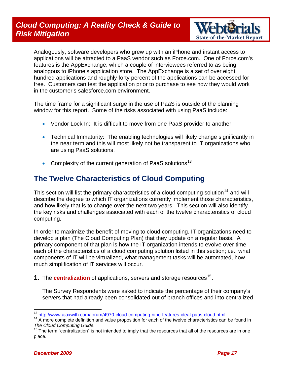

<span id="page-16-0"></span>Analogously, software developers who grew up with an iPhone and instant access to applications will be attracted to a PaaS vendor such as Force.com. One of Force.com's features is the AppExchange, which a couple of interviewees referred to as being analogous to iPhone's application store. The AppExchange is a set of over eight hundred applications and roughly forty percent of the applications can be accessed for free. Customers can test the application prior to purchase to see how they would work in the customer's salesforce.com environment.

The time frame for a significant surge in the use of PaaS is outside of the planning window for this report. Some of the risks associated with using PaaS include:

- Vendor Lock In: It is difficult to move from one PaaS provider to another
- Technical Immaturity: The enabling technologies will likely change significantly in the near term and this will most likely not be transparent to IT organizations who are using PaaS solutions.
- Complexity of the current generation of PaaS solutions<sup>[13](#page-16-1)</sup>

### **The Twelve Characteristics of Cloud Computing**

This section will list the primary characteristics of a cloud computing solution<sup>[14](#page-16-2)</sup> and will describe the degree to which IT organizations currently implement those characteristics, and how likely that is to change over the next two years. This section will also identify the key risks and challenges associated with each of the twelve characteristics of cloud computing.

In order to maximize the benefit of moving to cloud computing, IT organizations need to develop a plan (The Cloud Computing Plan) that they update on a regular basis. A primary component of that plan is how the IT organization intends to evolve over time each of the characteristics of a cloud computing solution listed in this section; i.e., what components of IT will be virtualized, what management tasks will be automated, how much simplification of IT services will occur.

**1.** The **centralization** of applications, servers and storage resources<sup>[15](#page-16-3)</sup>.

The Survey Respondents were asked to indicate the percentage of their company's servers that had already been consolidated out of branch offices and into centralized

<span id="page-16-1"></span><sup>13</sup> http://www.ajaxwith.com/forum/4970-cloud-computing-nine-features-ideal-paas-cloud.html

<span id="page-16-2"></span><sup>&</sup>lt;sup>14</sup> A more complete definition and value proposition for each of the twelve characteristics can be found in<br>The Cloud Computing Guide.

<span id="page-16-3"></span>*The Cloud Computing Guide.* 15 The term "centralization" is not intended to imply that the resources that all of the resources are in one place.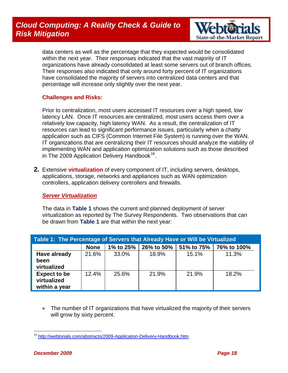

data centers as well as the percentage that they expected would be consolidated within the next year. Their responses indicated that the vast majority of IT organizations have already consolidated at least some servers out of branch offices. Their responses also indicated that only around forty percent of IT organizations have consolidated the majority of servers into centralized data centers and that percentage will increase only slightly over the next year.

#### **Challenges and Risks:**

Prior to centralization, most users accessed IT resources over a high speed, low latency LAN. Once IT resources are centralized, most users access them over a relatively low capacity, high latency WAN. As a result, the centralization of IT resources can lead to significant performance issues, particularly when a chatty application such as CIFS (Common Internet File System) is running over the WAN. IT organizations that are centralizing their IT resources should analyze the viability of implementing WAN and application optimization solutions such as those described in The 2009 Application Delivery Handbook<sup>[16](#page-17-0)</sup>.

**2.** Extensive **virtualization** of every component of IT, including servers, desktops, applications, storage, networks and appliances such as WAN optimization controllers, application delivery controllers and firewalls.

#### *Server Virtualization*

The data in **Table 1** shows the current and planned deployment of server virtualization as reported by The Survey Respondents. Two observations that can be drawn from **Table 1** are that within the next year:

| Table 1: The Percentage of Servers that Already Have or Will be Virtualized |             |           |            |            |             |
|-----------------------------------------------------------------------------|-------------|-----------|------------|------------|-------------|
|                                                                             | <b>None</b> | 1% to 25% | 26% to 50% | 51% to 75% | 76% to 100% |
| Have already<br>been<br>virtualized                                         | 21.6%       | 33.0%     | 18.9%      | 15.1%      | 11.3%       |
| <b>Expect to be</b><br>virtualized<br>within a year                         | 12.4%       | 25.6%     | 21.9%      | 21.9%      | 18.2%       |

• The number of IT organizations that have virtualized the majority of their servers will grow by sixty percent.

<span id="page-17-0"></span> $\overline{a}$ <sup>16</sup> <http://webtorials.com/abstracts/2009-Application-Delivery-Handbook.htm>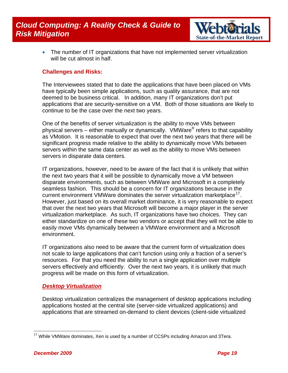

• The number of IT organizations that have not implemented server virtualization will be cut almost in half.

#### **Challenges and Risks:**

The Interviewees stated that to date the applications that have been placed on VMs have typically been simple applications, such as quality assurance, that are not deemed to be business critical. In addition, many IT organizations don't put applications that are security-sensitive on a VM. Both of those situations are likely to continue to be the case over the next two years.

One of the benefits of server virtualization is the ability to move VMs between physical servers – either manually or dynamically. VMWare<sup>®</sup> refers to that capability as VMotion. It is reasonable to expect that over the next two years that there will be significant progress made relative to the ability to dynamically move VMs between servers within the same data center as well as the ability to move VMs between servers in disparate data centers.

IT organizations, however, need to be aware of the fact that it is unlikely that within the next two years that it will be possible to dynamically move a VM between disparate environments, such as between VMWare and Microsoft in a completely seamless fashion. This should be a concern for IT organizations because in the current environment VMWare dominates the server virtualization marketplace $17$ . However, just based on its overall market dominance, it is very reasonable to expect that over the next two years that Microsoft will become a major player in the server virtualization marketplace. As such, IT organizations have two choices. They can either standardize on one of these two vendors or accept that they will not be able to easily move VMs dynamically between a VMWare environment and a Microsoft environment.

IT organizations also need to be aware that the current form of virtualization does not scale to large applications that can't function using only a fraction of a server's resources. For that you need the ability to run a single application over multiple servers effectively and efficiently. Over the next two years, it is unlikely that much progress will be made on this form of virtualization.

#### *Desktop Virtualization*

Desktop virtualization centralizes the management of desktop applications including applications hosted at the central site (server-side virtualized applications) and applications that are streamed on-demand to client devices (client-side virtualized

<span id="page-18-0"></span> $\overline{a}$  $17$  While VMWare dominates, Xen is used by a number of CCSPs including Amazon and 3Tera.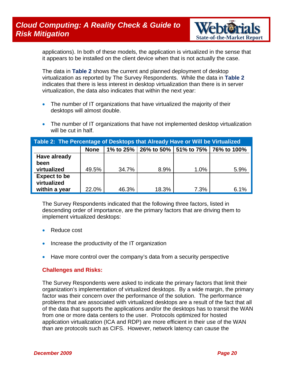

applications). In both of these models, the application is virtualized in the sense that it appears to be installed on the client device when that is not actually the case.

The data in **Table 2** shows the current and planned deployment of desktop virtualization as reported by The Survey Respondents. While the data in **Table 2** indicates that there is less interest in desktop virtualization than there is in server virtualization, the data also indicates that within the next year:

- The number of IT organizations that have virtualized the majority of their desktops will almost double.
- The number of IT organizations that have not implemented desktop virtualization will be cut in half.

| Table 2: The Percentage of Desktops that Already Have or Will be Virtualized |             |       |       |      |                                                   |
|------------------------------------------------------------------------------|-------------|-------|-------|------|---------------------------------------------------|
|                                                                              | <b>None</b> |       |       |      | 1% to 25%   26% to 50%   51% to 75%   76% to 100% |
| Have already                                                                 |             |       |       |      |                                                   |
| been                                                                         |             |       |       |      |                                                   |
| virtualized                                                                  | 49.5%       | 34.7% | 8.9%  | 1.0% | 5.9%                                              |
| <b>Expect to be</b>                                                          |             |       |       |      |                                                   |
| virtualized                                                                  |             |       |       |      |                                                   |
| within a year                                                                | 22.0%       | 46.3% | 18.3% | 7.3% | 6.1%                                              |

The Survey Respondents indicated that the following three factors, listed in descending order of importance, are the primary factors that are driving them to implement virtualized desktops:

- Reduce cost
- Increase the productivity of the IT organization
- Have more control over the company's data from a security perspective

#### **Challenges and Risks:**

The Survey Respondents were asked to indicate the primary factors that limit their organization's implementation of virtualized desktops. By a wide margin, the primary factor was their concern over the performance of the solution. The performance problems that are associated with virtualized desktops are a result of the fact that all of the data that supports the applications and/or the desktops has to transit the WAN from one or more data centers to the user. Protocols optimized for hosted application virtualization (ICA and RDP) are more efficient in their use of the WAN than are protocols such as CIFS. However, network latency can cause the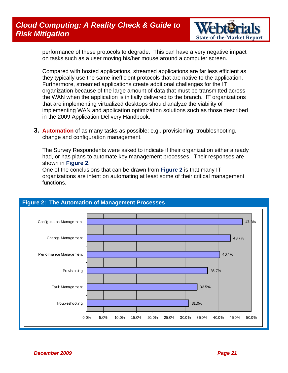### *Cloud Computing: A Reality Check & Guide to*  **Risk Mitigation** *State-of-the-Market Report in the State-of-the-Market Report in the State-of-the-Market Report in the State-of-the-Market Report in the State-of-the-Market Report <b>in the State-of-the-Market Report in t*



performance of these protocols to degrade. This can have a very negative impact on tasks such as a user moving his/her mouse around a computer screen.

Compared with hosted applications, streamed applications are far less efficient as they typically use the same inefficient protocols that are native to the application. Furthermore, streamed applications create additional challenges for the IT organization because of the large amount of data that must be transmitted across the WAN when the application is initially delivered to the branch. IT organizations that are implementing virtualized desktops should analyze the viability of implementing WAN and application optimization solutions such as those described in the 2009 Application Delivery Handbook.

**3. Automation** of as many tasks as possible; e.g., provisioning, troubleshooting, change and configuration management.

The Survey Respondents were asked to indicate if their organization either already had, or has plans to automate key management processes. Their responses are shown in **Figure 2**.

One of the conclusions that can be drawn from **Figure 2** is that many IT organizations are intent on automating at least some of their critical management functions.

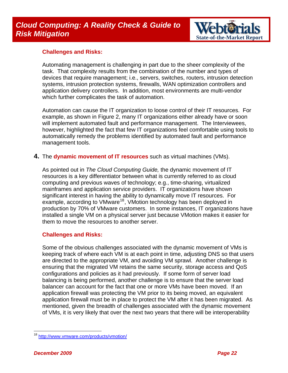

#### **Challenges and Risks:**

Automating management is challenging in part due to the sheer complexity of the task. That complexity results from the combination of the number and types of devices that require management; i.e., servers, switches, routers, intrusion detection systems, intrusion protection systems, firewalls, WAN optimization controllers and application delivery controllers. In addition, most environments are multi-vendor which further complicates the task of automation.

Automation can cause the IT organization to loose control of their IT resources. For example, as shown in Figure 2, many IT organizations either already have or soon will implement automated fault and performance management. The Interviewees, however, highlighted the fact that few IT organizations feel comfortable using tools to automatically remedy the problems identified by automated fault and performance management tools.

**4.** The **dynamic movement of IT resources** such as virtual machines (VMs).

As pointed out in *The Cloud Computing Guide,* the dynamic movement of IT resources is a key differentiator between what is currently referred to as cloud computing and previous waves of technology; e.g., time-sharing, virtualized mainframes and application service providers. IT organizations have shown significant interest in having the ability to dynamically move IT resources. For example, according to VMware<sup>[18](#page-21-0)</sup>, VMotion technology has been deployed in production by 70% of VMware customers. In some instances, IT organizations have installed a single VM on a physical server just because VMotion makes it easier for them to move the resources to another server.

#### **Challenges and Risks:**

Some of the obvious challenges associated with the dynamic movement of VMs is keeping track of where each VM is at each point in time, adjusting DNS so that users are directed to the appropriate VM, and avoiding VM sprawl. Another challenge is ensuring that the migrated VM retains the same security, storage access and QoS configurations and policies as it had previously. If some form of server load balancing is being performed, another challenge is to ensure that the server load balancer can account for the fact that one or more VMs have been moved. If an application firewall was protecting the VM prior to its being moved, an equivalent application firewall must be in place to protect the VM after it has been migrated. As mentioned, given the breadth of challenges associated with the dynamic movement of VMs, it is very likely that over the next two years that there will be interoperability

<span id="page-21-0"></span> $\overline{a}$ <sup>18</sup> <http://www.vmware.com/products/vmotion/>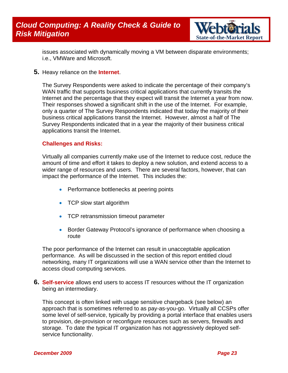

issues associated with dynamically moving a VM between disparate environments; i.e., VMWare and Microsoft.

**5.** Heavy reliance on the **Internet**.

The Survey Respondents were asked to indicate the percentage of their company's WAN traffic that supports business critical applications that currently transits the Internet and the percentage that they expect will transit the Internet a year from now. Their responses showed a significant shift in the use of the Internet. For example, only a quarter of The Survey Respondents indicated that today the majority of their business critical applications transit the Internet. However, almost a half of The Survey Respondents indicated that in a year the majority of their business critical applications transit the Internet.

#### **Challenges and Risks:**

Virtually all companies currently make use of the Internet to reduce cost, reduce the amount of time and effort it takes to deploy a new solution, and extend access to a wider range of resources and users. There are several factors, however, that can impact the performance of the Internet. This includes the:

- Performance bottlenecks at peering points
- TCP slow start algorithm
- TCP retransmission timeout parameter
- Border Gateway Protocol's ignorance of performance when choosing a route

The poor performance of the Internet can result in unacceptable application performance. As will be discussed in the section of this report entitled cloud networking, many IT organizations will use a WAN service other than the Internet to access cloud computing services.

**6. Self-service** allows end users to access IT resources without the IT organization being an intermediary.

This concept is often linked with usage sensitive chargeback (see below) an approach that is sometimes referred to as pay-as-you-go. Virtually all CCSPs offer some level of self-service, typically by providing a portal interface that enables users to provision, de-provision or reconfigure resources such as servers, firewalls and storage. To date the typical IT organization has not aggressively deployed selfservice functionality.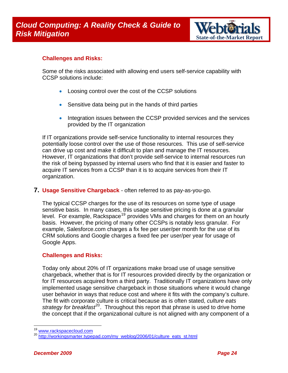

#### **Challenges and Risks:**

Some of the risks associated with allowing end users self-service capability with CCSP solutions include:

- Loosing control over the cost of the CCSP solutions
- Sensitive data being put in the hands of third parties
- Integration issues between the CCSP provided services and the services provided by the IT organization

If IT organizations provide self-service functionality to internal resources they potentially loose control over the use of those resources. This use of self-service can drive up cost and make it difficult to plan and manage the IT resources. However, IT organizations that don't provide self-service to internal resources run the risk of being bypassed by internal users who find that it is easier and faster to acquire IT services from a CCSP than it is to acquire services from their IT organization.

#### **7. Usage Sensitive Chargeback** - often referred to as pay-as-you-go.

The typical CCSP charges for the use of its resources on some type of usage sensitive basis. In many cases, this usage sensitive pricing is done at a granular level. For example, Rackspace<sup>[19](#page-23-0)</sup> provides VMs and charges for them on an hourly basis. However, the pricing of many other CCSPs is notably less granular. For example, Salesforce.com charges a fix fee per user/per month for the use of its CRM solutions and Google charges a fixed fee per user/per year for usage of Google Apps.

#### **Challenges and Risks:**

Today only about 20% of IT organizations make broad use of usage sensitive chargeback, whether that is for IT resources provided directly by the organization or for IT resources acquired from a third party. Traditionally IT organizations have only implemented usage sensitive chargeback in those situations where it would change user behavior in ways that reduce cost and where it fits with the company's culture. The fit with corporate culture is critical because as is often stated, *culture eats strategy for breakfast<sup>[20](#page-23-1)</sup>*. Throughout this report that phrase is used to drive home the concept that if the organizational culture is not aligned with any component of a

<span id="page-23-1"></span><span id="page-23-0"></span>[www.rackspacecloud.com](http://www.rackspacecloud.com/)<br>[http://workingsmarter.typepad.com/my\\_weblog/2006/01/culture\\_eats\\_st.html](http://workingsmarter.typepad.com/my_weblog/2006/01/culture_eats_st.html)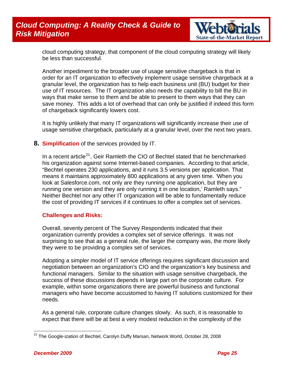### *Cloud Computing: A Reality Check & Guide to*  **Risk Mitigation** *State-of-the-Market Report* $S$  **State-of-the-Market Report**



cloud computing strategy, that component of the cloud computing strategy will likely be less than successful.

Another impediment to the broader use of usage sensitive chargeback is that in order for an IT organization to effectively implement usage sensitive chargeback at a granular level, the organization has to help each business unit (BU) budget for their use of IT resources. The IT organization also needs the capability to bill the BU in ways that make sense to them and be able to present to them ways that they can save money. This adds a lot of overhead that can only be justified if indeed this form of chargeback significantly lowers cost.

It is highly unlikely that many IT organizations will significantly increase their use of usage sensitive chargeback, particularly at a granular level, over the next two years.

**8. Simplification** of the services provided by IT.

In a recent article<sup>[21](#page-24-0)</sup>, Geir Ramleth the CIO of Bechtel stated that he benchmarked his organization against some Internet-based companies. According to that article, "Bechtel operates 230 applications, and it runs 3.5 versions per application. That means it maintains approximately 800 applications at any given time. 'When you look at Salesforce.com, not only are they running one application, but they are running one version and they are only running it in one location,' Ramleth says." Neither Bechtel nor any other IT organization will be able to fundamentally reduce the cost of providing IT services if it continues to offer a complex set of services.

#### **Challenges and Risks:**

Overall, seventy percent of The Survey Respondents indicated that their organization currently provides a complex set of service offerings. It was not surprising to see that as a general rule, the larger the company was, the more likely they were to be providing a complex set of services.

Adopting a simpler model of IT service offerings requires significant discussion and negotiation between an organization's CIO and the organization's key business and functional managers. Similar to the situation with usage sensitive chargeback, the success of these discussions depends in large part on the corporate culture. For example, within some organizations there are powerful business and functional managers who have become accustomed to having IT solutions customized for their needs.

As a general rule, corporate culture changes slowly. As such, it is reasonable to expect that there will be at best a very modest reduction in the complexity of the

<span id="page-24-0"></span> $\overline{a}$ <sup>21</sup> The Google-ization of Bechtel, Carolyn Duffy Marsan, Network World, October 28, 2008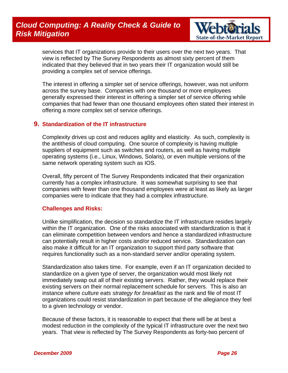

services that IT organizations provide to their users over the next two years. That view is reflected by The Survey Respondents as almost sixty percent of them indicated that they believed that in two years their IT organization would still be providing a complex set of service offerings.

The interest in offering a simpler set of service offerings, however, was not uniform across the survey base. Companies with one thousand or more employees generally expressed their interest in offering a simpler set of service offering while companies that had fewer than one thousand employees often stated their interest in offering a more complex set of service offerings.

#### **9. Standardization of the IT infrastructure**

Complexity drives up cost and reduces agility and elasticity. As such, complexity is the antithesis of cloud computing. One source of complexity is having multiple suppliers of equipment such as switches and routers, as well as having multiple operating systems (i.e., Linux, Windows, Solaris), or even multiple versions of the same network operating system such as IOS.

Overall, fifty percent of The Survey Respondents indicated that their organization currently has a complex infrastructure. It was somewhat surprising to see that companies with fewer than one thousand employees were at least as likely as larger companies were to indicate that they had a complex infrastructure.

#### **Challenges and Risks:**

Unlike simplification, the decision so standardize the IT infrastructure resides largely within the IT organization. One of the risks associated with standardization is that it can eliminate competition between vendors and hence a standardized infrastructure can potentially result in higher costs and/or reduced service. Standardization can also make it difficult for an IT organization to support third party software that requires functionality such as a non-standard server and/or operating system.

Standardization also takes time. For example, even if an IT organization decided to standardize on a given type of server, the organization would most likely not immediately swap out all of their existing servers. Rather, they would replace their existing servers on their normal replacement schedule for servers. This is also an instance where *culture eats strategy for breakfast* as the rank and file of most IT organizations could resist standardization in part because of the allegiance they feel to a given technology or vendor.

Because of these factors, it is reasonable to expect that there will be at best a modest reduction in the complexity of the typical IT infrastructure over the next two years. That view is reflected by The Survey Respondents as forty-two percent of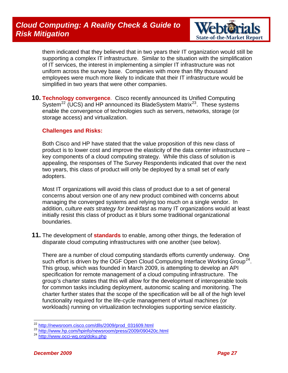

them indicated that they believed that in two years their IT organization would still be supporting a complex IT infrastructure. Similar to the situation with the simplification of IT services, the interest in implementing a simpler IT infrastructure was not uniform across the survey base. Companies with more than fifty thousand employees were much more likely to indicate that their IT infrastructure would be simplified in two years that were other companies.

**10. Technology convergence**. Cisco recently announced its Unified Computing System<sup>[22](#page-26-0)</sup> (UCS) and HP announced its BladeSystem Matrix<sup>23</sup>. These systems enable the convergence of technologies such as servers, networks, storage (or storage access) and virtualization.

#### **Challenges and Risks:**

Both Cisco and HP have stated that the value proposition of this new class of product is to lower cost and improve the elasticity of the data center infrastructure – key components of a cloud computing strategy. While this class of solution is appealing, the responses of The Survey Respondents indicated that over the next two years, this class of product will only be deployed by a small set of early adopters.

Most IT organizations will avoid this class of product due to a set of general concerns about version one of any new product combined with concerns about managing the converged systems and relying too much on a single vendor. In addition, *culture eats strategy for breakfast* as many IT organizations would at least initially resist this class of product as it blurs some traditional organizational boundaries.

**11.** The development of **standards** to enable, among other things, the federation of disparate cloud computing infrastructures with one another (see below).

There are a number of cloud computing standards efforts currently underway. One such effort is driven by the OGF Open Cloud Computing Interface Working Group<sup>[24](#page-26-2)</sup>. This group, which was founded in March 2009, is attempting to develop an API specification for remote management of a cloud computing infrastructure. The group's charter states that this will allow for the development of interoperable tools for common tasks including deployment, autonomic scaling and monitoring. The charter further states that the scope of the specification will be all of the high level functionality required for the life-cycle management of virtual machines (or workloads) running on virtualization technologies supporting service elasticity.

<span id="page-26-1"></span><span id="page-26-0"></span> $22 \frac{\text{http://newsroom.cisco.com/dlls/2009/prod 031609.html}}{\text{http://www.hp.com/hpinfo/newsroom/press/2009/090420c.html}}$  $22 \frac{\text{http://newsroom.cisco.com/dlls/2009/prod 031609.html}}{\text{http://www.hp.com/hpinfo/newsroom/press/2009/090420c.html}}$  $22 \frac{\text{http://newsroom.cisco.com/dlls/2009/prod 031609.html}}{\text{http://www.hp.com/hpinfo/newsroom/press/2009/090420c.html}}$   $23 \frac{\text{http://www.hp.com/hpinfo/newsroom/press/2009/090420c.html}}{\text{http://www.occi-wg.org/doku.php}}$  $23 \frac{\text{http://www.hp.com/hpinfo/newsroom/press/2009/090420c.html}}{\text{http://www.occi-wg.org/doku.php}}$  $23 \frac{\text{http://www.hp.com/hpinfo/newsroom/press/2009/090420c.html}}{\text{http://www.occi-wg.org/doku.php}}$ 

<span id="page-26-2"></span>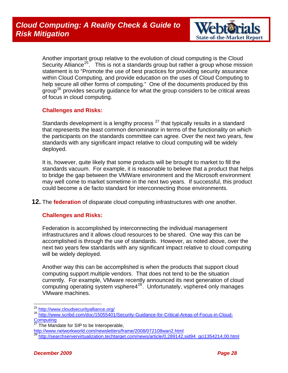

Another important group relative to the evolution of cloud computing is the Cloud Security Alliance<sup>[25](#page-27-0)</sup>. This is not a standards group but rather a group whose mission statement is to "Promote the use of best practices for providing security assurance within Cloud Computing, and provide education on the uses of Cloud Computing to help secure all other forms of computing." One of the documents produced by this group<sup>[26](#page-27-1)</sup> provides security guidance for what the group considers to be critical areas of focus in cloud computing.

#### **Challenges and Risks:**

Standards development is a lengthy process  $27$  that typically results in a standard that represents the least common denominator in terms of the functionality on which the participants on the standards committee can agree. Over the next two years, few standards with any significant impact relative to cloud computing will be widely deployed.

It is, however, quite likely that some products will be brought to market to fill the standards vacuum. For example, it is reasonable to believe that a product that helps to bridge the gap between the VMWare environment and the Microsoft environment may well come to market sometime in the next two years. If successful, this product could become a de facto standard for interconnecting those environments.

**12.** The **federation** of disparate cloud computing infrastructures with one another.

#### **Challenges and Risks:**

Federation is accomplished by interconnecting the individual management infrastructures and it allows cloud resources to be shared. One way this can be accomplished is through the use of standards. However, as noted above, over the next two years few standards with any significant impact relative to cloud computing will be widely deployed.

Another way this can be accomplished is when the products that support cloud computing support multiple vendors. That does not tend to be the situation currently. For example, VMware recently announced its next generation of cloud computing operating system vsphere4<sup>[28](#page-27-3)</sup>. Unfortunately, vsphere4 only manages VMware machines.

<sup>&</sup>lt;sup>25</sup> http://www.cloudsecurityalliance.org/

<span id="page-27-1"></span><span id="page-27-0"></span><sup>&</sup>lt;sup>26</sup> [http://www.scribd.com/doc/15055401/Security-Guidance-for-Critical-Areas-of-Focus-in-Cloud-](http://www.scribd.com/doc/15055401/Security-Guidance-for-Critical-Areas-of-Focus-in-Cloud-Computing) $Computing  
<sub>27</sub>  $\frac{1}{T}$$  $Computing  
<sub>27</sub>  $\frac{1}{T}$$  $Computing  
<sub>27</sub>  $\frac{1}{T}$$ </u>

<span id="page-27-2"></span>The Mandate for SIP to be Interoperable,

<http://www.networkworld.com/newsletters/frame/2008/072108wan2.html>

<span id="page-27-3"></span><sup>28</sup> [http://searchservervirtualization.techtarget.com/news/article/0,289142,sid94\\_gci1354214,00.html](http://searchservervirtualization.techtarget.com/news/article/0,289142,sid94_gci1354214,00.html)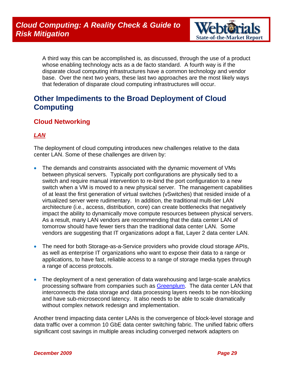

<span id="page-28-0"></span>A third way this can be accomplished is, as discussed, through the use of a product whose enabling technology acts as a de facto standard. A fourth way is if the disparate cloud computing infrastructures have a common technology and vendor base. Over the next two years, these last two approaches are the most likely ways that federation of disparate cloud computing infrastructures will occur.

### **Other Impediments to the Broad Deployment of Cloud Computing**

### **Cloud Networking**

#### *LAN*

The deployment of cloud computing introduces new challenges relative to the data center LAN. Some of these challenges are driven by:

- The demands and constraints associated with the dynamic movement of VMs between physical servers. Typically port configurations are physically tied to a switch and require manual intervention to re-bind the port configuration to a new switch when a VM is moved to a new physical server. The management capabilities of at least the first generation of virtual switches (vSwitches) that resided inside of a virtualized server were rudimentary. In addition, the traditional multi-tier LAN architecture (i.e., access, distribution, core) can create bottlenecks that negatively impact the ability to dynamically move compute resources between physical servers. As a result, many LAN vendors are recommending that the data center LAN of tomorrow should have fewer tiers than the traditional data center LAN. Some vendors are suggesting that IT organizations adopt a flat, Layer 2 data center LAN.
- The need for both Storage-as-a-Service providers who provide cloud storage APIs, as well as enterprise IT organizations who want to expose their data to a range or applications, to have fast, reliable access to a range of storage media types through a range of access protocols.
- The deployment of a next generation of data warehousing and large-scale analytics processing software from companies such as [Greenplum.](http://www.greenplum.com/) The data center LAN that interconnects the data storage and data processing layers needs to be non-blocking and have sub-microsecond latency. It also needs to be able to scale dramatically without complex network redesign and implementation.

Another trend impacting data center LANs is the convergence of block-level storage and data traffic over a common 10 GbE data center switching fabric. The unified fabric offers significant cost savings in multiple areas including converged network adapters on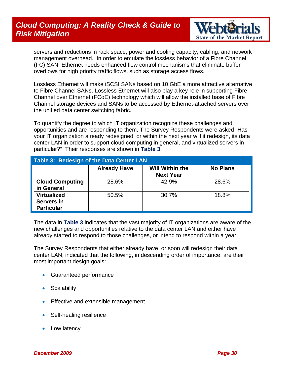### *Cloud Computing: A Reality Check & Guide to*  **Risk Mitigation** *State-of-the-Market Report in the State-of-the-Market Report* $S$



servers and reductions in rack space, power and cooling capacity, cabling, and network management overhead. In order to emulate the lossless behavior of a Fibre Channel (FC) SAN, Ethernet needs enhanced flow control mechanisms that eliminate buffer overflows for high priority traffic flows, such as storage access flows.

Lossless Ethernet will make iSCSI SANs based on 10 GbE a more attractive alternative to Fibre Channel SANs. Lossless Ethernet will also play a key role in supporting Fibre Channel over Ethernet (FCoE) technology which will allow the installed base of Fibre Channel storage devices and SANs to be accessed by Ethernet-attached servers over the unified data center switching fabric.

To quantify the degree to which IT organization recognize these challenges and opportunities and are responding to them, The Survey Respondents were asked "Has your IT organization already redesigned, or within the next year will it redesign, its data center LAN in order to support cloud computing in general, and virtualized servers in particular?" Their responses are shown in **Table 3**.

| Table 3: Redesign of the Data Center LAN              |                     |                                            |                 |  |  |
|-------------------------------------------------------|---------------------|--------------------------------------------|-----------------|--|--|
|                                                       | <b>Already Have</b> | <b>Will Within the</b><br><b>Next Year</b> | <b>No Plans</b> |  |  |
| <b>Cloud Computing</b><br>in General                  | 28.6%               | 42.9%                                      | 28.6%           |  |  |
| <b>Virtualized</b><br>Servers in<br><b>Particular</b> | 50.5%               | 30.7%                                      | 18.8%           |  |  |

The data in **Table 3** indicates that the vast majority of IT organizations are aware of the new challenges and opportunities relative to the data center LAN and either have already started to respond to those challenges, or intend to respond within a year.

The Survey Respondents that either already have, or soon will redesign their data center LAN, indicated that the following, in descending order of importance, are their most important design goals:

- Guaranteed performance
- Scalability
- Effective and extensible management
- Self-healing resilience
- Low latency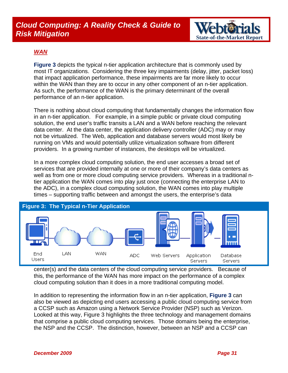

#### *WAN*

**Figure 3** depicts the typical n-tier application architecture that is commonly used by most IT organizations. Considering the three key impairments (delay, jitter, packet loss) that impact application performance, these impairments are far more likely to occur within the WAN than they are to occur in any other component of an n-tier application. As such, the performance of the WAN is the primary determinant of the overall performance of an n-tier application.

There is nothing about cloud computing that fundamentally changes the information flow in an n-tier application. For example, in a simple public or private cloud computing solution, the end user's traffic transits a LAN and a WAN before reaching the relevant data center. At the data center, the application delivery controller (ADC) may or may not be virtualized. The Web, application and database servers would most likely be running on VMs and would potentially utilize virtualization software from different providers. In a growing number of instances, the desktops will be virtualized.

In a more complex cloud computing solution, the end user accesses a broad set of services that are provided internally at one or more of their company's data centers as well as from one or more cloud computing service providers. Whereas in a traditional ntier application the WAN comes into play just once (connecting the enterprise LAN to the ADC), in a complex cloud computing solution, the WAN comes into play multiple times – supporting traffic between and amongst the users, the enterprise's data



center(s) and the data centers of the cloud computing service providers. Because of this, the performance of the WAN has more impact on the performance of a complex cloud computing solution than it does in a more traditional computing model.

In addition to representing the information flow in an n-tier application, **Figure 3** can also be viewed as depicting end users accessing a public cloud computing service from a CCSP such as Amazon using a Network Service Provider (NSP) such as Verizon. Looked at this way, Figure 3 highlights the three technology and management domains that comprise a public cloud computing services. Those domains being the enterprise, the NSP and the CCSP. The distinction, however, between an NSP and a CCSP can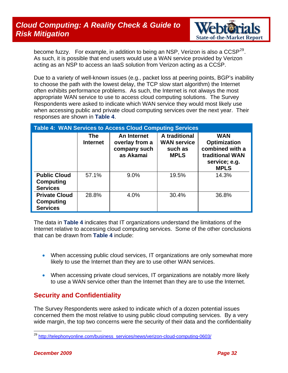### <span id="page-31-0"></span>*Cloud Computing: A Reality Check & Guide to*  **Risk Mitigation** *State-of-the-Market Report in the State-of-the-Market Report* $S$



become fuzzy. For example, in addition to being an NSP, Verizon is also a  $CCSP<sup>29</sup>$  $CCSP<sup>29</sup>$  $CCSP<sup>29</sup>$ . As such, it is possible that end users would use a WAN service provided by Verizon acting as an NSP to access an IaaS solution from Verizon acting as a CCSP.

Due to a variety of well-known issues (e.g., packet loss at peering points, BGP's inability to choose the path with the lowest delay, the TCP slow start algorithm) the Internet often exhibits performance problems. As such, the Internet is not always the most appropriate WAN service to use to access cloud computing solutions. The Survey Respondents were asked to indicate which WAN service they would most likely use when accessing public and private cloud computing services over the next year. Their responses are shown in **Table 4**.

| <b>Table 4: WAN Services to Access Cloud Computing Services</b> |                        |                                                            |                                                               |                                                                                                         |  |
|-----------------------------------------------------------------|------------------------|------------------------------------------------------------|---------------------------------------------------------------|---------------------------------------------------------------------------------------------------------|--|
|                                                                 | The<br><b>Internet</b> | An Internet<br>overlay from a<br>company such<br>as Akamai | A traditional<br><b>WAN service</b><br>such as<br><b>MPLS</b> | <b>WAN</b><br><b>Optimization</b><br>combined with a<br>traditional WAN<br>service; e.g.<br><b>MPLS</b> |  |
| <b>Public Cloud</b><br><b>Computing</b><br><b>Services</b>      | 57.1%                  | 9.0%                                                       | 19.5%                                                         | 14.3%                                                                                                   |  |
| <b>Private Cloud</b><br><b>Computing</b><br><b>Services</b>     | 28.8%                  | 4.0%                                                       | 30.4%                                                         | 36.8%                                                                                                   |  |

The data in **Table 4** indicates that IT organizations understand the limitations of the Internet relative to accessing cloud computing services. Some of the other conclusions that can be drawn from **Table 4** include:

- When accessing public cloud services, IT organizations are only somewhat more likely to use the Internet than they are to use other WAN services.
- When accessing private cloud services, IT organizations are notably more likely to use a WAN service other than the Internet than they are to use the Internet.

#### **Security and Confidentiality**

The Survey Respondents were asked to indicate which of a dozen potential issues concerned them the most relative to using public cloud computing services. By a very wide margin, the top two concerns were the security of their data and the confidentiality

<span id="page-31-1"></span><sup>&</sup>lt;sup>29</sup> [http://telephonyonline.com/business\\_services/news/verizon-cloud-computing-0603/](http://telephonyonline.com/business_services/news/verizon-cloud-computing-0603/)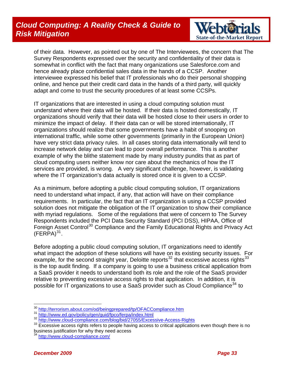### *Cloud Computing: A Reality Check & Guide to*  **Risk Mitigation** *State-of-the-Market Report in the State-of-the-Market Report* $S$



of their data. However, as pointed out by one of The Interviewees, the concern that The Survey Respondents expressed over the security and confidentiality of their data is somewhat in conflict with the fact that many organizations use Salesforce.com and hence already place confidential sales data in the hands of a CCSP. Another interviewee expressed his belief that IT professionals who do their personal shopping online, and hence put their credit card data in the hands of a third party, will quickly adapt and come to trust the security procedures of at least some CCSPs.

IT organizations that are interested in using a cloud computing solution must understand where their data will be hosted. If their data is hosted domestically, IT organizations should verify that their data will be hosted close to their users in order to minimize the impact of delay. If their data can or will be stored internationally, IT organizations should realize that some governments have a habit of snooping on international traffic, while some other governments (primarily in the European Union) have very strict data privacy rules. In all cases storing data internationally will tend to increase network delay and can lead to poor overall performance. This is another example of why the blithe statement made by many industry pundits that as part of cloud computing users neither know nor care about the mechanics of how the IT services are provided, is wrong. A very significant challenge, however, is validating where the IT organization's data actually is stored once it is given to a CCSP.

As a minimum, before adopting a public cloud computing solution, IT organizations need to understand what impact, if any, that action will have on their compliance requirements. In particular, the fact that an IT organization is using a CCSP provided solution does not mitigate the obligation of the IT organization to show their compliance with myriad regulations. Some of the regulations that were of concern to The Survey Respondents included the PCI Data Security Standard (PCI DSS), HIPAA, Office of Foreign Asset Control<sup>[30](#page-32-0)</sup> Compliance and the Family Educational Rights and Privacy Act  $(FERPA)^{31}$  $(FERPA)^{31}$  $(FERPA)^{31}$ .

Before adopting a public cloud computing solution, IT organizations need to identify what impact the adoption of these solutions will have on its existing security issues. For example, for the second straight year, Deloitte reports<sup>[32](#page-32-2)</sup> that excessive access rights<sup>33</sup> is the top audit finding. If a company is going to use a business critical application from a SaaS provider it needs to understand both its role and the role of the SaaS provider relative to preventing excessive access rights to that application. In addition, it is possible for IT organizations to use a SaaS provider such as Cloud Compliance<sup>[34](#page-32-4)</sup> to

 $\overline{a}$ 

<span id="page-32-3"></span><span id="page-32-2"></span>

<span id="page-32-1"></span><span id="page-32-0"></span><sup>&</sup>lt;sup>30</sup> <http://terrorism.about.com/od/beingprepared/tp/OFACCompliance.htm><br>
<sup>31</sup> <http://www.ed.gov/policy/gen/guid/fpco/ferpa/index.html><br>
<sup>32</sup> <http://www.cloud-compliance.com/blog/bid/27055/Excessive-Access-Rights><br>
<sup>33</sup> Excess business justification for why they need access

<span id="page-32-4"></span><http://www.cloud-compliance.com/>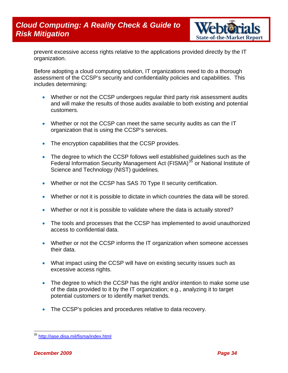

prevent excessive access rights relative to the applications provided directly by the IT organization.

Before adopting a cloud computing solution, IT organizations need to do a thorough assessment of the CCSP's security and confidentiality policies and capabilities. This includes determining:

- Whether or not the CCSP undergoes regular third party risk assessment audits and will make the results of those audits available to both existing and potential customers.
- Whether or not the CCSP can meet the same security audits as can the IT organization that is using the CCSP's services.
- The encryption capabilities that the CCSP provides.
- The degree to which the CCSP follows well established guidelines such as the Federal Information Security Management Act (FISMA)<sup>[35](#page-33-0)</sup> or National Institute of Science and Technology (NIST) guidelines.
- Whether or not the CCSP has SAS 70 Type II security certification.
- Whether or not it is possible to dictate in which countries the data will be stored.
- Whether or not it is possible to validate where the data is actually stored?
- The tools and processes that the CCSP has implemented to avoid unauthorized access to confidential data.
- Whether or not the CCSP informs the IT organization when someone accesses their data.
- What impact using the CCSP will have on existing security issues such as excessive access rights.
- The degree to which the CCSP has the right and/or intention to make some use of the data provided to it by the IT organization; e.g., analyzing it to target potential customers or to identify market trends.
- The CCSP's policies and procedures relative to data recovery.

<span id="page-33-0"></span><sup>&</sup>lt;sup>35</sup> <http://iase.disa.mil/fisma/index.html>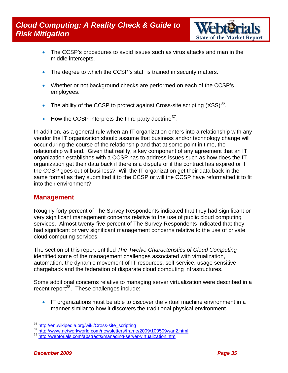### <span id="page-34-0"></span>*Cloud Computing: A Reality Check & Guide to*  **Risk Mitigation** *State-of-the-Market Report of the Market Report of the Market Report in the Market Report of the Market Report in the Market Report of the Market Report of the Market Report of the Market Report of the*



- The CCSP's procedures to avoid issues such as virus attacks and man in the middle intercepts.
- The degree to which the CCSP's staff is trained in security matters.
- Whether or not background checks are performed on each of the CCSP's employees.
- The ability of the CCSP to protect against Cross-site scripting  $(XSS)^{36}$  $(XSS)^{36}$  $(XSS)^{36}$ .
- How the CCSP interprets the third party doctrine  $37$ .

In addition, as a general rule when an IT organization enters into a relationship with any vendor the IT organization should assume that business and/or technology change will occur during the course of the relationship and that at some point in time, the relationship will end. Given that reality, a key component of any agreement that an IT organization establishes with a CCSP has to address issues such as how does the IT organization get their data back if there is a dispute or if the contract has expired or if the CCSP goes out of business? Will the IT organization get their data back in the same format as they submitted it to the CCSP or will the CCSP have reformatted it to fit into their environment?

#### **Management**

Roughly forty percent of The Survey Respondents indicated that they had significant or very significant management concerns relative to the use of public cloud computing services. Almost twenty-five percent of The Survey Respondents indicated that they had significant or very significant management concerns relative to the use of private cloud computing services.

The section of this report entitled *The Twelve Characteristics of Cloud Computing* identified some of the management challenges associated with virtualization, automation, the dynamic movement of IT resources, self-service, usage sensitive chargeback and the federation of disparate cloud computing infrastructures.

Some additional concerns relative to managing server virtualization were described in a recent report<sup>[38](#page-34-3)</sup>. These challenges include:

• IT organizations must be able to discover the virtual machine environment in a manner similar to how it discovers the traditional physical environment.

<span id="page-34-1"></span><sup>&</sup>lt;sup>36</sup> [http://en.wikipedia.org/wiki/Cross-site\\_scripting](http://en.wikipedia.org/wiki/Cross-site_scripting)<br><sup>37</sup> <http://www.networkworld.com/newsletters/frame/2009/100509wan2.html> <sup>38</sup> [http://webtorials.com/abstracts/managing-server-virtualization.htm](http://webtorials.com/abstracts/understanding-cloud-computing.htm)

<span id="page-34-3"></span><span id="page-34-2"></span>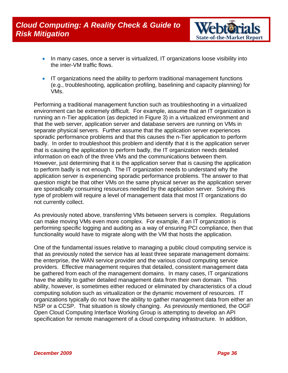

- In many cases, once a server is virtualized, IT organizations loose visibility into the inter-VM traffic flows.
- IT organizations need the ability to perform traditional management functions (e.g., troubleshooting, application profiling, baselining and capacity planning) for VMs.

Performing a traditional management function such as troubleshooting in a virtualized environment can be extremely difficult. For example, assume that an IT organization is running an n-Tier application (as depicted in Figure 3) in a virtualized environment and that the web server, application server and database servers are running on VMs in separate physical servers. Further assume that the application server experiences sporadic performance problems and that this causes the n-Tier application to perform badly. In order to troubleshoot this problem and identify that it is the application server that is causing the application to perform badly, the IT organization needs detailed information on each of the three VMs and the communications between them. However, just determining that it is the application server that is causing the application to perform badly is not enough. The IT organization needs to understand why the application server is experiencing sporadic performance problems. The answer to that question might be that other VMs on the same physical server as the application server are sporadically consuming resources needed by the application server. Solving this type of problem will require a level of management data that most IT organizations do not currently collect.

As previously noted above, transferring VMs between servers is complex. Regulations can make moving VMs even more complex. For example, if an IT organization is performing specific logging and auditing as a way of ensuring PCI compliance, then that functionality would have to migrate along with the VM that hosts the application.

One of the fundamental issues relative to managing a public cloud computing service is that as previously noted the service has at least three separate management domains: the enterprise, the WAN service provider and the various cloud computing service providers. Effective management requires that detailed, consistent management data be gathered from each of the management domains. In many cases, IT organizations have the ability to gather detailed management data from their own domain. This ability, however, is sometimes either reduced or eliminated by characteristics of a cloud computing solution such as virtualization or the dynamic movement of resources. IT organizations typically do not have the ability to gather management data from either an NSP or a CCSP. That situation is slowly changing. As previously mentioned, the OGF Open Cloud Computing Interface Working Group is attempting to develop an API specification for remote management of a cloud computing infrastructure. In addition,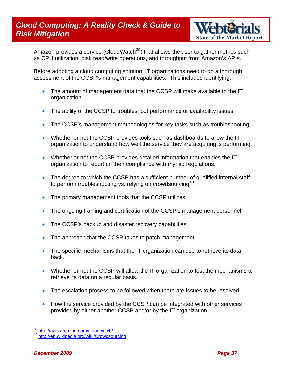

Amazon provides a service (CloudWatch<sup>[39](#page-36-0)</sup>) that allows the user to gather metrics such as CPU utilization, disk read/write operations, and throughput from Amazon's APIs.

Before adopting a cloud computing solution, IT organizations need to do a thorough assessment of the CCSP's management capabilities. This includes identifying:

- The amount of management data that the CCSP will make available to the IT organization.
- The ability of the CCSP to troubleshoot performance or availability issues.
- The CCSP's management methodologies for key tasks such as troubleshooting.
- Whether or not the CCSP provides tools such as dashboards to allow the IT organization to understand how well the service they are acquiring is performing.
- Whether or not the CCSP provides detailed information that enables the IT organization to report on their compliance with myriad regulations.
- The degree to which the CCSP has a sufficient number of qualified internal staff to perform troubleshooting vs. relying on crowdsourcing<sup>[40](#page-36-1)</sup>.
- The primary management tools that the CCSP utilizes.
- The ongoing training and certification of the CCSP's management personnel.
- The CCSP's backup and disaster recovery capabilities.
- The approach that the CCSP takes to patch management.
- The specific mechanisms that the IT organization can use to retrieve its data back.
- Whether or not the CCSP will allow the IT organization to test the mechanisms to retrieve its data on a regular basis.
- The escalation process to be followed when there are issues to be resolved.
- How the service provided by the CCSP can be integrated with other services provided by either another CCSP and/or by the IT organization.

<span id="page-36-1"></span><span id="page-36-0"></span><sup>&</sup>lt;sup>39</sup> <http://aws.amazon.com/cloudwatch/><br><sup>40</sup> <http://en.wikipedia.org/wiki/Crowdsourcing>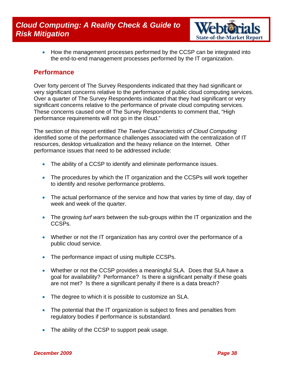

<span id="page-37-0"></span>• How the management processes performed by the CCSP can be integrated into the end-to-end management processes performed by the IT organization.

#### **Performance**

Over forty percent of The Survey Respondents indicated that they had significant or very significant concerns relative to the performance of public cloud computing services. Over a quarter of The Survey Respondents indicated that they had significant or very significant concerns relative to the performance of private cloud computing services. These concerns caused one of The Survey Respondents to comment that, "High performance requirements will not go in the cloud."

The section of this report entitled *The Twelve Characteristics of Cloud Computing* identified some of the performance challenges associated with the centralization of IT resources, desktop virtualization and the heavy reliance on the Internet. Other performance issues that need to be addressed include:

- The ability of a CCSP to identify and eliminate performance issues.
- The procedures by which the IT organization and the CCSPs will work together to identify and resolve performance problems.
- The actual performance of the service and how that varies by time of day, day of week and week of the quarter.
- The growing *turf wars* between the sub-groups within the IT organization and the CCSPs.
- Whether or not the IT organization has any control over the performance of a public cloud service.
- The performance impact of using multiple CCSPs.
- Whether or not the CCSP provides a meaningful SLA. Does that SLA have a goal for availability? Performance? Is there a significant penalty if these goals are not met? Is there a significant penalty if there is a data breach?
- The degree to which it is possible to customize an SLA.
- The potential that the IT organization is subject to fines and penalties from regulatory bodies if performance is substandard.
- The ability of the CCSP to support peak usage.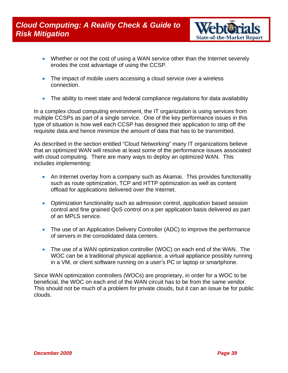

- Whether or not the cost of using a WAN service other than the Internet severely erodes the cost advantage of using the CCSP.
- The impact of mobile users accessing a cloud service over a wireless connection.
- The ability to meet state and federal compliance regulations for data availability

In a complex cloud computing environment, the IT organization is using services from multiple CCSPs as part of a single service. One of the key performance issues in this type of situation is how well each CCSP has designed their application to strip off the requisite data and hence minimize the amount of data that has to be transmitted.

As described in the section entitled "Cloud Networking" many IT organizations believe that an optimized WAN will resolve at least some of the performance issues associated with cloud computing. There are many ways to deploy an optimized WAN. This includes implementing:

- An Internet overlay from a company such as Akamai. This provides functionality such as route optimization, TCP and HTTP optimization as well as content offload for applications delivered over the Internet.
- Optimization functionality such as admission control, application based session control and fine grained QoS control on a per application basis delivered as part of an MPLS service.
- The use of an Application Delivery Controller (ADC) to improve the performance of servers in the consolidated data centers.
- The use of a WAN optimization controller (WOC) on each end of the WAN. The WOC can be a traditional physical appliance, a virtual appliance possibly running in a VM, or client software running on a user's PC or laptop or smartphone.

Since WAN optimization controllers (WOCs) are proprietary, in order for a WOC to be beneficial, the WOC on each end of the WAN circuit has to be from the same vendor. This should not be much of a problem for private clouds, but it can an issue be for public clouds.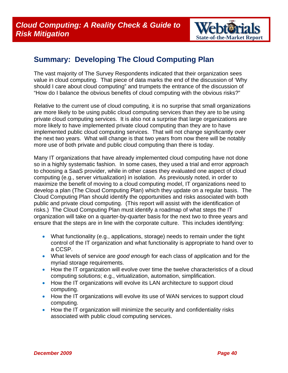

### <span id="page-39-0"></span>**Summary: Developing The Cloud Computing Plan**

The vast majority of The Survey Respondents indicated that their organization sees value in cloud computing. That piece of data marks the end of the discussion of 'Why should I care about cloud computing" and trumpets the entrance of the discussion of "How do I balance the obvious benefits of cloud computing with the obvious risks?"

Relative to the current use of cloud computing, it is no surprise that small organizations are more likely to be using public cloud computing services than they are to be using private cloud computing services. It is also not a surprise that large organizations are more likely to have implemented private cloud computing than they are to have implemented public cloud computing services. That will not change significantly over the next two years. What will change is that two years from now there will be notably more use of both private and public cloud computing than there is today.

Many IT organizations that have already implemented cloud computing have not done so in a highly systematic fashion. In some cases, they used a trial and error approach to choosing a SaaS provider, while in other cases they evaluated one aspect of cloud computing (e.g., server virtualization) in isolation. As previously noted, in order to maximize the benefit of moving to a cloud computing model, IT organizations need to develop a plan (The Cloud Computing Plan) which they update on a regular basis. The Cloud Computing Plan should identify the opportunities and risks associated with both public and private cloud computing. (This report will assist with the identification of risks.) The Cloud Computing Plan must identify a roadmap of what steps the IT organization will take on a quarter-by-quarter basis for the next two to three years and ensure that the steps are in line with the corporate culture. This includes identifying:

- What functionality (e.g., applications, storage) needs to remain under the tight control of the IT organization and what functionality is appropriate to hand over to a CCSP.
- What levels of service are *good enough* for each class of application and for the myriad storage requirements.
- How the IT organization will evolve over time the twelve characteristics of a cloud computing solutions; e.g., virtualization, automation, simplification.
- How the IT organizations will evolve its LAN architecture to support cloud computing.
- How the IT organizations will evolve its use of WAN services to support cloud computing.
- How the IT organization will minimize the security and confidentiality risks associated with public cloud computing services.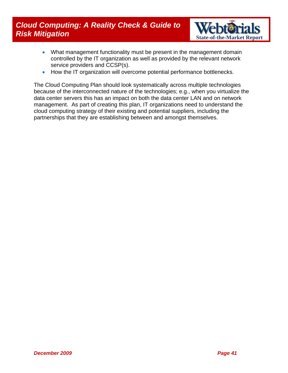### *Cloud Computing: A Reality Check & Guide to*  **Cloud Computing: A Reality Check & Guide to Market Report Report of the Market Report All State-of-the-Market Report**



- What management functionality must be present in the management domain controlled by the IT organization as well as provided by the relevant network service providers and CCSP(s).
- How the IT organization will overcome potential performance bottlenecks.

The Cloud Computing Plan should look systematically across multiple technologies because of the interconnected nature of the technologies; e.g., when you virtualize the data center servers this has an impact on both the data center LAN and on network management. As part of creating this plan, IT organizations need to understand the cloud computing strategy of their existing and potential suppliers, including the partnerships that they are establishing between and amongst themselves.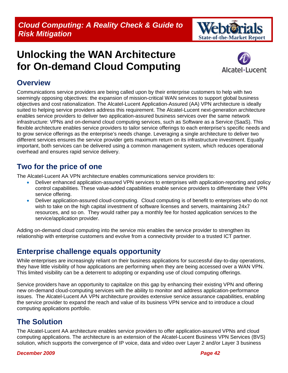

# <span id="page-41-0"></span>**Unlocking the WAN Architecture for On-demand Cloud Computing**



### **Overview**

Communications service providers are being called upon by their enterprise customers to help with two seemingly opposing objectives: the expansion of mission-critical WAN services to support global business objectives and cost rationalization. The Alcatel-Lucent Application-Assured (AA) VPN architecture is ideally suited to helping service providers address this requirement. The Alcatel-Lucent next-generation architecture enables service providers to deliver two application-assured business services over the same network infrastructure: VPNs and on-demand cloud computing services, such as Software as a Service (SaaS). This flexible architecture enables service providers to tailor service offerings to each enterprise's specific needs and to grow service offerings as the enterprise's needs change. Leveraging a single architecture to deliver two different services ensures the service provider gets maximum return on its infrastructure investment. Equally important, both services can be delivered using a common management system, which reduces operational overhead and ensures rapid service delivery.

### **Two for the price of one**

The Alcatel-Lucent AA VPN architecture enables communications service providers to:

- Deliver enhanced application-assured VPN services to enterprises with application-reporting and policy control capabilities. These value-added capabilities enable service providers to differentiate their VPN service offering.
- Deliver application-assured cloud-computing. Cloud computing is of benefit to enterprises who do not wish to take on the high capital investment of software licenses and servers, maintaining 24x7 resources, and so on. They would rather pay a monthly fee for hosted application services to the service/application provider.

Adding on-demand cloud computing into the service mix enables the service provider to strengthen its relationship with enterprise customers and evolve from a connectivity provider to a trusted ICT partner.

### **Enterprise challenge equals opportunity**

While enterprises are increasingly reliant on their business applications for successful day-to-day operations, they have little visibility of how applications are performing when they are being accessed over a WAN VPN. This limited visibility can be a deterrent to adopting or expanding use of cloud computing offerings.

Service providers have an opportunity to capitalize on this gap by enhancing their existing VPN and offering new on-demand cloud-computing services with the ability to monitor and address application-performance issues. The Alcatel-Lucent AA VPN architecture provides extensive service assurance capabilities, enabling the service provider to expand the reach and value of its business VPN service and to introduce a cloud computing applications portfolio.

### **The Solution**

The Alcatel-Lucent AA architecture enables service providers to offer application-assured VPNs and cloud computing applications. The architecture is an extension of the Alcatel-Lucent Business VPN Services (BVS) solution, which supports the convergence of IP voice, data and video over Layer 2 and/or Layer 3 business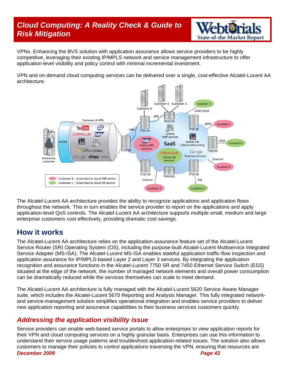### *Cloud Computing: A Reality Check & Guide to*  **Risk Mitigation** *State-of-the-Market Report* $S$  **State-of-the-Market Report <b>***State-of-the-Market Report*



VPNs. Enhancing the BVS solution with application assurance allows service providers to be highly competitive, leveraging their existing IP/MPLS network and service management infrastructure to offer application-level visibility and policy control with minimal incremental investment.

VPN and on-demand cloud computing services can be delivered over a single, cost-effective Alcatel-Lucent AA architecture.



The Alcatel-Lucent AA architecture provides the ability to recognize applications and application flows throughout the network. This in turn enables the service provider to report on the applications and apply application-level QoS controls. The Alcatel-Lucent AA architecture supports multiple small, medium and large enterprise customers cost effectively, providing dramatic cost savings.

### **How it works**

The Alcatel-Lucent AA architecture relies on the application-assurance feature set of the Alcatel-Lucent Service Router (SR) Operating System (OS), including the purpose-built Alcatel-Lucent Multiservice Integrated Service Adapter (MS-ISA). The Alcatel-Lucent MS-ISA enables stateful application traffic-flow inspection and application assurance for IP/MPLS-based Layer 2 and Layer 3 services. By integrating the application recognition and assurance functions in the Alcatel-Lucent 7750 SR and 7450 Ethernet Service Switch (ESS) situated at the edge of the network, the number of managed network elements and overall power consumption can be dramatically reduced while the services themselves can scale to meet demand.

The Alcatel-Lucent AA architecture is fully managed with the Alcatel-Lucent 5620 Service Aware Manager suite, which includes the Alcatel-Lucent 5670 Reporting and Analysis Manager. This fully integrated networkand service-management solution simplifies operational integration and enables service providers to deliver new application reporting and assurance capabilities to their business services customers quickly.

#### *Addressing the application visibility issue*

Service providers can enable web-based service portals to allow enterprises to view application reports for their VPN and cloud computing services on a highly granular basis. Enterprises can use this information to understand their service usage patterns and troubleshoot application-related issues. The solution also allows customers to manage their policies to control applications traversing the VPN, ensuring that resources are

*[December 2009 Page 43](#page-34-0)*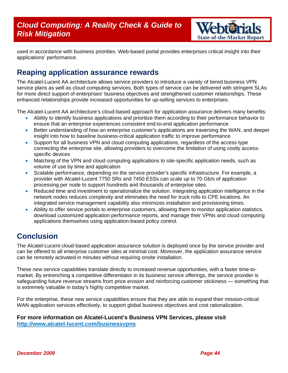

used in accordance with business priorities. Web-based portal provides enterprises critical insight into their applications' performance.

### **Reaping application assurance rewards**

The Alcatel-Lucent AA architecture allows service providers to introduce a variety of tiered business VPN service plans as well as cloud computing services. Both types of service can be delivered with stringent SLAs for more direct support of enterprises' business objectives and strengthened customer relationships. These enhanced relationships provide increased opportunities for up-selling services to enterprises.

The Alcatel-Lucent AA architecture's cloud-based approach for application assurance delivers many benefits:

- Ability to identify business applications and prioritize them according to their performance behavior to ensure that an enterprise experiences consistent end-to-end application performance
- Better understanding of how an enterprise customer's applications are traversing the WAN, and deeper insight into how to baseline business-critical application traffic to improve performance
- Support for all business VPN and cloud computing applications, regardless of the access type connecting the enterprise site, allowing providers to overcome the limitation of using costly accessspecific devices
- Matching of the VPN and cloud computing applications to site-specific application needs, such as volume of use by time and application
- Scalable performance, depending on the service provider's specific infrastructure. For example, a provider with Alcatel-Lucent 7750 SRs and 7450 ESSs can scale up to 70 Gb/s of application processing per node to support hundreds and thousands of enterprise sites.
- Reduced time and investment to operationalize the solution. Integrating application intelligence in the network nodes reduces complexity and eliminates the need for truck rolls to CPE locations. An integrated service management capability also minimizes installation and provisioning times.
- Ability to offer service portals to enterprise customers, allowing them to monitor application statistics, download customized application performance reports, and manage their VPNs and cloud computing applications themselves using application-based policy control.

### **Conclusion**

The Alcatel-Lucent cloud-based application assurance solution is deployed once by the service provider and can be offered to all enterprise customer sites at minimal cost. Moreover, the application assurance service can be remotely activated in minutes without requiring onsite installation.

These new service capabilities translate directly to increased revenue opportunities, with a faster time-tomarket. By entrenching a competitive differentiator in its business service offerings, the service provider is safeguarding future revenue streams from price erosion and reinforcing customer stickiness — something that is extremely valuable in today's highly competitive market.

For the enterprise, these new service capabilities ensure that they are able to expand their mission-critical WAN application services effectively, to support global business objectives and cost rationalization.

#### **For more information on Alcatel-Lucent's Business VPN Services, please visit <http://www.alcatel-lucent.com/businessvpns>**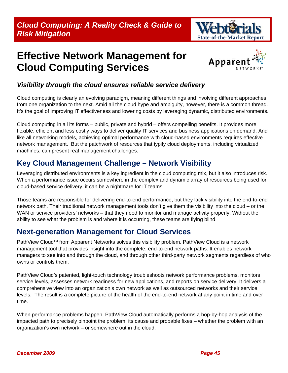## <span id="page-44-0"></span>**Effective Network Management for Cloud Computing Services**



#### *Visibility through the cloud ensures reliable service delivery*

Cloud computing is clearly an evolving paradigm, meaning different things and involving different approaches from one organization to the next. Amid all the cloud hype and ambiguity, however, there is a common thread. It's the goal of improving IT effectiveness and lowering costs by leveraging dynamic, distributed environments.

Cloud computing in all its forms – public, private and hybrid – offers compelling benefits. It provides more flexible, efficient and less costly ways to deliver quality IT services and business applications on demand. And like all networking models, achieving optimal performance with cloud-based environments requires effective network management. But the patchwork of resources that typify cloud deployments, including virtualized machines, can present real management challenges.

### **Key Cloud Management Challenge – Network Visibility**

Leveraging distributed environments is a key ingredient in the cloud computing mix, but it also introduces risk. When a performance issue occurs somewhere in the complex and dynamic array of resources being used for cloud-based service delivery, it can be a nightmare for IT teams.

Those teams are responsible for delivering end-to-end performance, but they lack visibility into the end-to-end network path. Their traditional network management tools don't give them the visibility into the cloud – or the WAN or service providers' networks – that they need to monitor and manage activity properly. Without the ability to see what the problem is and where it is occurring, these teams are flying blind.

### **Next-generation Management for Cloud Services**

PathView Cloud™ from Apparent Networks solves this visibility problem. PathView Cloud is a network management tool that provides insight into the complete, end-to-end network paths. It enables network managers to see into and through the cloud, and through other third-party network segments regardless of who owns or controls them.

PathView Cloud's patented, light-touch technology troubleshoots network performance problems, monitors service levels, assesses network readiness for new applications, and reports on service delivery. It delivers a comprehensive view into an organization's own network as well as outsourced networks and their service levels. The result is a complete picture of the health of the end-to-end network at any point in time and over time.

When performance problems happen, PathView Cloud automatically performs a hop-by-hop analysis of the impacted path to precisely pinpoint the problem, its cause and probable fixes – whether the problem with an organization's own network – or somewhere out in the cloud.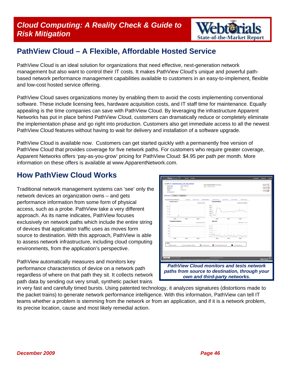### *Cloud Computing: A Reality Check & Guide to*  **Risk Mitigation** *State-of-the-Market Report in the State-of-the-Market Report in the State-of-the-Market Report in the State-of-the-Market Report in the State-of-the-Market Report <b>in the State-of-the-Market Report in*



### **PathView Cloud – A Flexible, Affordable Hosted Service**

PathView Cloud is an ideal solution for organizations that need effective, next-generation network management but also want to control their IT costs. It makes PathView Cloud's unique and powerful pathbased network performance management capabilities available to customers in an easy-to-implement, flexible and low-cost hosted service offering.

PathView Cloud saves organizations money by enabling them to avoid the costs implementing conventional software. These include licensing fees, hardware acquisition costs, and IT staff time for maintenance. Equally appealing is the time companies can save with PathView Cloud. By leveraging the infrastructure Apparent Networks has put in place behind PathView Cloud, customers can dramatically reduce or completely eliminate the implementation phase and go right into production. Customers also get immediate access to all the newest PathView Cloud features without having to wait for delivery and installation of a software upgrade.

PathView Cloud is available now. Customers can get started quickly with a permanently free version of PathView Cloud that provides coverage for five network paths. For customers who require greater coverage, Apparent Networks offers 'pay-as-you-grow' pricing for PathView Cloud: \$4.95 per path per month. More information on these offers is available at [www.ApparentNetwork.com.](http://www.apparenttools.com/)

### **How PathView Cloud Works**

Traditional network management systems can 'see' only the network devices an organization owns – and gets performance information from some form of physical access, such as a probe. PathView take a very different approach. As its name indicates, PathView focuses exclusively on network paths which include the entire string of devices that application traffic uses as moves form source to destination. With this approach, PathView is able to assess network infrastructure, including cloud computing environments, from the application's perspective.

PathView automatically measures and monitors key performance characteristics of device on a network path regardless of where on that path they sit. It collects network path data by sending out very small, synthetic packet trains



in very fast and carefully timed bursts. Using patented technology, it analyzes signatures (distortions made to the packet trains) to generate network performance intelligence. With this information, PathView can tell IT teams whether a problem is stemming from the network or from an application, and if it is a network problem, its precise location, cause and most likely remedial action.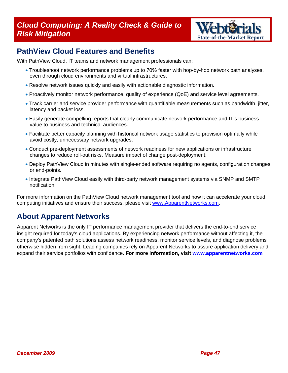### *Cloud Computing: A Reality Check & Guide to*  **Cloud Computing: A Reality Check & Guide to Medition Risk Mitigation and Report Private Report 6 At 2 State-of-the-Market Report**



### **PathView Cloud Features and Benefits**

With PathView Cloud, IT teams and network management professionals can:

- Troubleshoot network performance problems up to 70% faster with hop-by-hop network path analyses, even through cloud environments and virtual infrastructures.
- Resolve network issues quickly and easily with actionable diagnostic information.
- Proactively monitor network performance, quality of experience (QoE) and service level agreements.
- Track carrier and service provider performance with quantifiable measurements such as bandwidth, jitter, latency and packet loss.
- Easily generate compelling reports that clearly communicate network performance and IT's business value to business and technical audiences.
- Facilitate better capacity planning with historical network usage statistics to provision optimally while avoid costly, unnecessary network upgrades.
- Conduct pre-deployment assessments of network readiness for new applications or infrastructure changes to reduce roll-out risks. Measure impact of change post-deployment.
- Deploy PathView Cloud in minutes with single-ended software requiring no agents, configuration changes or end-points.
- Integrate PathView Cloud easily with third-party network management systems via SNMP and SMTP notification.

For more information on the PathView Cloud network management tool and how it can accelerate your cloud computing initiatives and ensure their success, please visit [www.ApparentNetworks.com](http://www.apparentnetworks.com/).

### **About Apparent Networks**

Apparent Networks is the only IT performance management provider that delivers the end-to-end service insight required for today's cloud applications. By experiencing network performance without affecting it, the company's patented path solutions assess network readiness, monitor service levels, and diagnose problems otherwise hidden from sight. Leading companies rely on Apparent Networks to assure application delivery and expand their service portfolios with confidence. **For more information, visit [www.apparentnetworks.com](http://www.apparentnetworks.com/)**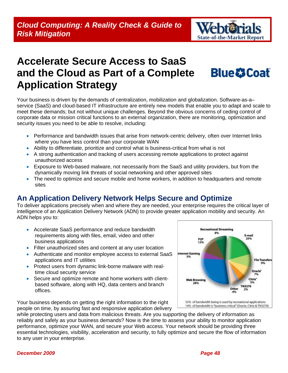

# <span id="page-47-0"></span>**Accelerate Secure Access to SaaS and the Cloud as Part of a Complete Application Strategy**



Your business is driven by the demands of centralization, mobilization and globalization. Software-as-a– service (SaaS) and cloud-based IT infrastructure are entirely new models that enable you to adapt and scale to meet these demands; but not without unique challenges. Beyond the obvious concerns of ceding control of corporate data or mission critical functions to an external organization, there are monitoring, optimization and security issues you need to be able to resolve, including:

- Performance and bandwidth issues that arise from network-centric delivery, often over Internet links where you have less control than your corporate WAN
- Ability to differentiate, prioritize and control what is business-critical from what is not
- A strong authentication and tracking of users accessing remote applications to protect against unauthorized access
- Exposure to Web-based malware, not necessarily from the SaaS and utility providers, but from the dynamically moving link threats of social networking and other approved sites
- The need to optimize and secure mobile and home workers, in addition to headquarters and remote sites

### **An Application Delivery Network Helps Secure and Optimize**

To deliver applications precisely when and where they are needed, your enterprise requires the critical layer of intelligence of an Application Delivery Network (ADN) to provide greater application mobility and security. An ADN helps you to:

- Accelerate SaaS performance and reduce bandwidth requirements along with files, email, video and other business applications
- Filter unauthorized sites and content at any user location
- Authenticate and monitor employee access to external SaaS applications and IT utilities
- Protect users from dynamic link-borne malware with realtime cloud security service
- Secure and optimize remote and home workers with clientbased software, along with HQ, data centers and branch offices.

Your business depends on getting the right information to the right people on time, by assuring fast and responsive application delivery

**Recreational Streaming** 8% E-mail P<sub>2</sub>P Internet Gaming 5% **File Transfers** Oracle<sup>®</sup> Citrix<sup>\*</sup> **Web Browsing** TN3270 Other 53% of bandwidth being is used by recreational applications 14% of bandwidth is "business critical" (Oracle, Citrix & TN3270)

while protecting users and data from malicious threats. Are you supporting the delivery of information as reliably and safely as your business demands? Now is the time to assess your ability to monitor application performance, optimize your WAN, and secure your Web access. Your network should be providing three essential technologies, visibility, acceleration and security, to fully optimize and secure the flow of information to any user in your enterprise.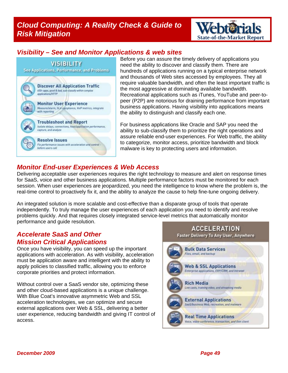### *Cloud Computing: A Reality Check & Guide to*  **Cloud Computing: A Reality Check & Guide to Weblesh 2 IS Risk Mitigation and Report All State-of-the-Market Report**



### *Visibility – See and Monitor Applications & web sites*



hundreds of applications running on a typical enterprise network require valuable bandwidth, and often the least important traffic is peer (P2P) are notorious for draining performance from important the ability to distinguish and classify each one. Before you can assure the timely delivery of applications you need the ability to discover and classify them. There are and thousands of Web sites accessed by employees. They all the most aggressive at dominating available bandwidth. Recreational applications such as iTunes, YouTube and peer-tobusiness applications. Having visibility into applications means

For business applications like Oracle and SAP you need the ability to sub-classify them to prioritize the right operations and assure reliable end-user experiences. For Web traffic, the ability to categorize, monitor access, prioritize bandwidth and block malware is key to protecting users and information.

#### *Monitor End-user Experiences & Web Access*

Delivering acceptable user experiences requires the right technology to measure and alert on response times for SaaS, voice and other business applications. Multiple performance factors must be monitored for each session. When user experiences are jeopardized, you need the intelligence to know where the problem is, the real-time control to proactively fix it, and the ability to analyze the cause to help fine-tune ongoing delivery.

An integrated solution is more scalable and cost-effective than a disparate group of tools that operate independently. To truly manage the user experiences of each application you need to identify and resolve problems quickly. And that requires closely integrated service-level metrics that automatically monitor performance and guide resolution.

#### *Accelerate SaaS and Other Mission Critical Applications*

Once you have visibility, you can speed up the important applications with acceleration. As with visibility, acceleration must be application aware and intelligent with the ability to apply policies to classified traffic, allowing you to enforce corporate priorities and protect information.

Without control over a SaaS vendor site, optimizing these and other cloud-based applications is a unique challenge. With Blue Coat's innovative asymmetric Web and SSL acceleration technologies, we can optimize and secure external applications over Web & SSL, delivering a better user experience, reducing bandwidth and giving IT control of access.

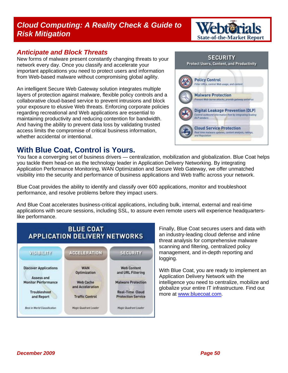### *Cloud Computing: A Reality Check & Guide to*  **Cloud Computing: A Reality Check & Guide to Medicine-Market Report Report of the-Market Report**

#### *Anticipate and Block Threats*

New forms of malware present constantly changing threats to your network every day. Once you classify and accelerate your important applications you need to protect users and information from Web-based malware without compromising global agility.

An intelligent Secure Web Gateway solution integrates multiple layers of protection against malware, flexible policy controls and a collaborative cloud-based service to prevent intrusions and block your exposure to elusive Web threats. Enforcing corporate policies regarding recreational and Web applications are essential to maintaining productivity and reducing contention for bandwidth. And having the ability to prevent data loss by validating trusted access limits the compromise of critical business information, whether accidental or intentional.

### **With Blue Coat, Control is Yours.**

You face a converging set of business drivers — centralization, mobilization and globalization. Blue Coat helps you tackle them head-on as the technology leader in Application Delivery Networking. By integrating Application Performance Monitoring, WAN Optimization and Secure Web Gateway, we offer unmatched visibility into the security and performance of business applications and Web traffic across your network.

Blue Coat provides the ability to identify and classify over 600 applications, monitor and troubleshoot performance, and resolve problems before they impact users.

And Blue Coat accelerates business-critical applications, including bulk, internal, external and real-time applications with secure sessions, including SSL, to assure even remote users will experience headquarterslike performance.



Finally, Blue Coat secures users and data with an industry-leading cloud defense and inline threat analysis for comprehensive malware scanning and filtering, centralized policy management, and in-depth reporting and logging.

intelligence you need to centralize, mobilize and globalize your entire IT infrastructure. Find out more at [www.blueco](http://www.bluecoat.com/)at.com. With Blue Coat, you are ready to implement an Application Delivery Network with the